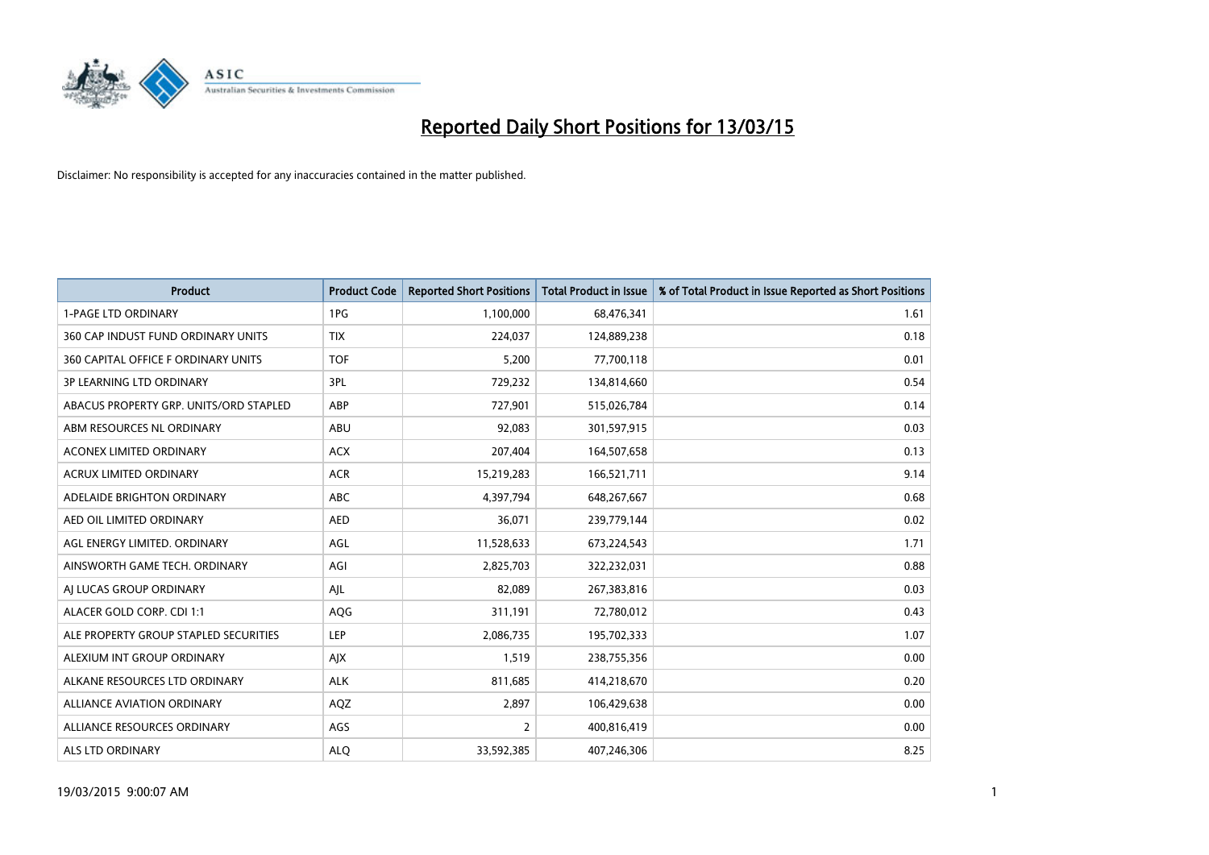

| <b>Product</b>                         | <b>Product Code</b> | <b>Reported Short Positions</b> | <b>Total Product in Issue</b> | % of Total Product in Issue Reported as Short Positions |
|----------------------------------------|---------------------|---------------------------------|-------------------------------|---------------------------------------------------------|
| <b>1-PAGE LTD ORDINARY</b>             | 1PG                 | 1,100,000                       | 68,476,341                    | 1.61                                                    |
| 360 CAP INDUST FUND ORDINARY UNITS     | <b>TIX</b>          | 224,037                         | 124,889,238                   | 0.18                                                    |
| 360 CAPITAL OFFICE F ORDINARY UNITS    | <b>TOF</b>          | 5,200                           | 77,700,118                    | 0.01                                                    |
| <b>3P LEARNING LTD ORDINARY</b>        | 3PL                 | 729,232                         | 134,814,660                   | 0.54                                                    |
| ABACUS PROPERTY GRP. UNITS/ORD STAPLED | ABP                 | 727,901                         | 515,026,784                   | 0.14                                                    |
| ABM RESOURCES NL ORDINARY              | ABU                 | 92,083                          | 301,597,915                   | 0.03                                                    |
| <b>ACONEX LIMITED ORDINARY</b>         | <b>ACX</b>          | 207,404                         | 164,507,658                   | 0.13                                                    |
| ACRUX LIMITED ORDINARY                 | <b>ACR</b>          | 15,219,283                      | 166,521,711                   | 9.14                                                    |
| ADELAIDE BRIGHTON ORDINARY             | <b>ABC</b>          | 4,397,794                       | 648,267,667                   | 0.68                                                    |
| AED OIL LIMITED ORDINARY               | <b>AED</b>          | 36,071                          | 239,779,144                   | 0.02                                                    |
| AGL ENERGY LIMITED. ORDINARY           | AGL                 | 11,528,633                      | 673,224,543                   | 1.71                                                    |
| AINSWORTH GAME TECH. ORDINARY          | AGI                 | 2,825,703                       | 322,232,031                   | 0.88                                                    |
| AI LUCAS GROUP ORDINARY                | AJL                 | 82,089                          | 267,383,816                   | 0.03                                                    |
| ALACER GOLD CORP. CDI 1:1              | <b>AQG</b>          | 311,191                         | 72,780,012                    | 0.43                                                    |
| ALE PROPERTY GROUP STAPLED SECURITIES  | <b>LEP</b>          | 2,086,735                       | 195,702,333                   | 1.07                                                    |
| ALEXIUM INT GROUP ORDINARY             | AJX                 | 1,519                           | 238,755,356                   | 0.00                                                    |
| ALKANE RESOURCES LTD ORDINARY          | <b>ALK</b>          | 811,685                         | 414,218,670                   | 0.20                                                    |
| ALLIANCE AVIATION ORDINARY             | AQZ                 | 2,897                           | 106,429,638                   | 0.00                                                    |
| ALLIANCE RESOURCES ORDINARY            | AGS                 | 2                               | 400,816,419                   | 0.00                                                    |
| ALS LTD ORDINARY                       | <b>ALO</b>          | 33,592,385                      | 407,246,306                   | 8.25                                                    |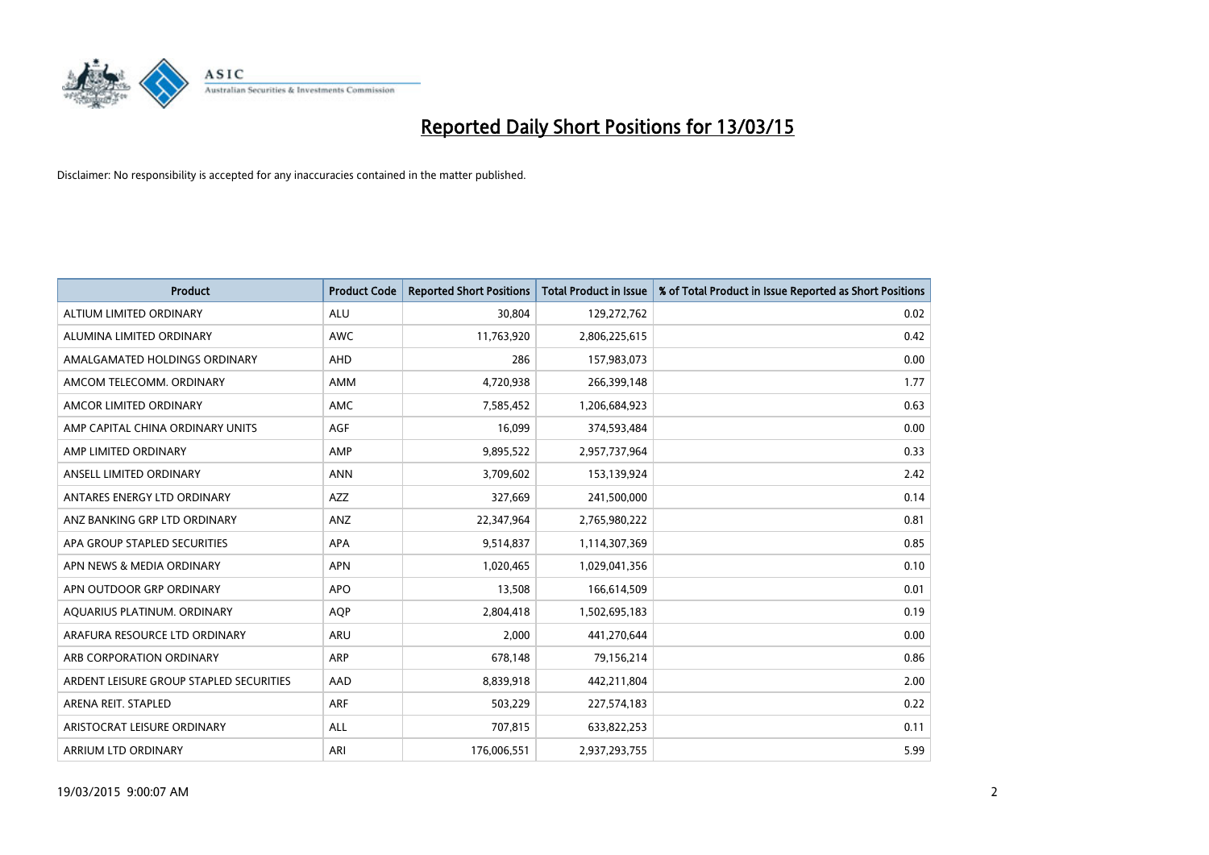

| <b>Product</b>                          | <b>Product Code</b> | <b>Reported Short Positions</b> | <b>Total Product in Issue</b> | % of Total Product in Issue Reported as Short Positions |
|-----------------------------------------|---------------------|---------------------------------|-------------------------------|---------------------------------------------------------|
| ALTIUM LIMITED ORDINARY                 | <b>ALU</b>          | 30,804                          | 129,272,762                   | 0.02                                                    |
| ALUMINA LIMITED ORDINARY                | AWC                 | 11,763,920                      | 2,806,225,615                 | 0.42                                                    |
| AMALGAMATED HOLDINGS ORDINARY           | AHD                 | 286                             | 157,983,073                   | 0.00                                                    |
| AMCOM TELECOMM. ORDINARY                | AMM                 | 4,720,938                       | 266,399,148                   | 1.77                                                    |
| AMCOR LIMITED ORDINARY                  | AMC                 | 7,585,452                       | 1,206,684,923                 | 0.63                                                    |
| AMP CAPITAL CHINA ORDINARY UNITS        | <b>AGF</b>          | 16,099                          | 374,593,484                   | 0.00                                                    |
| AMP LIMITED ORDINARY                    | AMP                 | 9,895,522                       | 2,957,737,964                 | 0.33                                                    |
| ANSELL LIMITED ORDINARY                 | <b>ANN</b>          | 3,709,602                       | 153,139,924                   | 2.42                                                    |
| ANTARES ENERGY LTD ORDINARY             | <b>AZZ</b>          | 327,669                         | 241,500,000                   | 0.14                                                    |
| ANZ BANKING GRP LTD ORDINARY            | ANZ                 | 22,347,964                      | 2,765,980,222                 | 0.81                                                    |
| APA GROUP STAPLED SECURITIES            | APA                 | 9,514,837                       | 1,114,307,369                 | 0.85                                                    |
| APN NEWS & MEDIA ORDINARY               | <b>APN</b>          | 1,020,465                       | 1,029,041,356                 | 0.10                                                    |
| APN OUTDOOR GRP ORDINARY                | <b>APO</b>          | 13,508                          | 166,614,509                   | 0.01                                                    |
| AQUARIUS PLATINUM. ORDINARY             | <b>AOP</b>          | 2,804,418                       | 1,502,695,183                 | 0.19                                                    |
| ARAFURA RESOURCE LTD ORDINARY           | <b>ARU</b>          | 2,000                           | 441,270,644                   | 0.00                                                    |
| ARB CORPORATION ORDINARY                | ARP                 | 678,148                         | 79,156,214                    | 0.86                                                    |
| ARDENT LEISURE GROUP STAPLED SECURITIES | AAD                 | 8,839,918                       | 442,211,804                   | 2.00                                                    |
| ARENA REIT. STAPLED                     | <b>ARF</b>          | 503,229                         | 227,574,183                   | 0.22                                                    |
| ARISTOCRAT LEISURE ORDINARY             | ALL                 | 707,815                         | 633,822,253                   | 0.11                                                    |
| ARRIUM LTD ORDINARY                     | ARI                 | 176,006,551                     | 2,937,293,755                 | 5.99                                                    |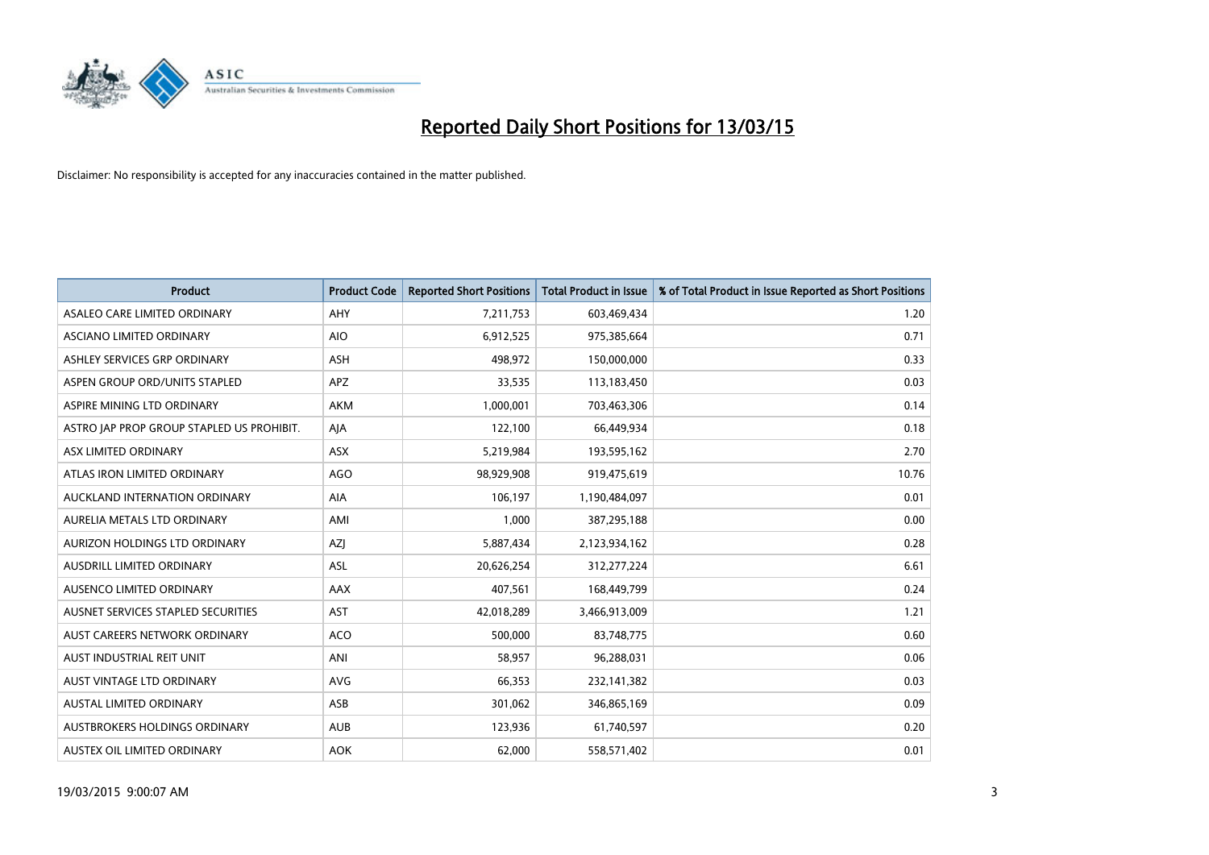

| <b>Product</b>                            | <b>Product Code</b> | <b>Reported Short Positions</b> | <b>Total Product in Issue</b> | % of Total Product in Issue Reported as Short Positions |
|-------------------------------------------|---------------------|---------------------------------|-------------------------------|---------------------------------------------------------|
| ASALEO CARE LIMITED ORDINARY              | AHY                 | 7,211,753                       | 603,469,434                   | 1.20                                                    |
| ASCIANO LIMITED ORDINARY                  | <b>AIO</b>          | 6,912,525                       | 975,385,664                   | 0.71                                                    |
| ASHLEY SERVICES GRP ORDINARY              | <b>ASH</b>          | 498,972                         | 150,000,000                   | 0.33                                                    |
| ASPEN GROUP ORD/UNITS STAPLED             | APZ                 | 33,535                          | 113,183,450                   | 0.03                                                    |
| ASPIRE MINING LTD ORDINARY                | <b>AKM</b>          | 1,000,001                       | 703,463,306                   | 0.14                                                    |
| ASTRO JAP PROP GROUP STAPLED US PROHIBIT. | AJA                 | 122,100                         | 66,449,934                    | 0.18                                                    |
| ASX LIMITED ORDINARY                      | ASX                 | 5,219,984                       | 193,595,162                   | 2.70                                                    |
| ATLAS IRON LIMITED ORDINARY               | <b>AGO</b>          | 98,929,908                      | 919,475,619                   | 10.76                                                   |
| AUCKLAND INTERNATION ORDINARY             | <b>AIA</b>          | 106.197                         | 1,190,484,097                 | 0.01                                                    |
| AURELIA METALS LTD ORDINARY               | AMI                 | 1,000                           | 387,295,188                   | 0.00                                                    |
| AURIZON HOLDINGS LTD ORDINARY             | AZJ                 | 5,887,434                       | 2,123,934,162                 | 0.28                                                    |
| AUSDRILL LIMITED ORDINARY                 | ASL                 | 20,626,254                      | 312,277,224                   | 6.61                                                    |
| AUSENCO LIMITED ORDINARY                  | AAX                 | 407,561                         | 168,449,799                   | 0.24                                                    |
| AUSNET SERVICES STAPLED SECURITIES        | AST                 | 42,018,289                      | 3,466,913,009                 | 1.21                                                    |
| AUST CAREERS NETWORK ORDINARY             | <b>ACO</b>          | 500,000                         | 83,748,775                    | 0.60                                                    |
| AUST INDUSTRIAL REIT UNIT                 | ANI                 | 58,957                          | 96,288,031                    | 0.06                                                    |
| AUST VINTAGE LTD ORDINARY                 | <b>AVG</b>          | 66,353                          | 232,141,382                   | 0.03                                                    |
| AUSTAL LIMITED ORDINARY                   | ASB                 | 301,062                         | 346,865,169                   | 0.09                                                    |
| AUSTBROKERS HOLDINGS ORDINARY             | <b>AUB</b>          | 123,936                         | 61,740,597                    | 0.20                                                    |
| AUSTEX OIL LIMITED ORDINARY               | <b>AOK</b>          | 62,000                          | 558,571,402                   | 0.01                                                    |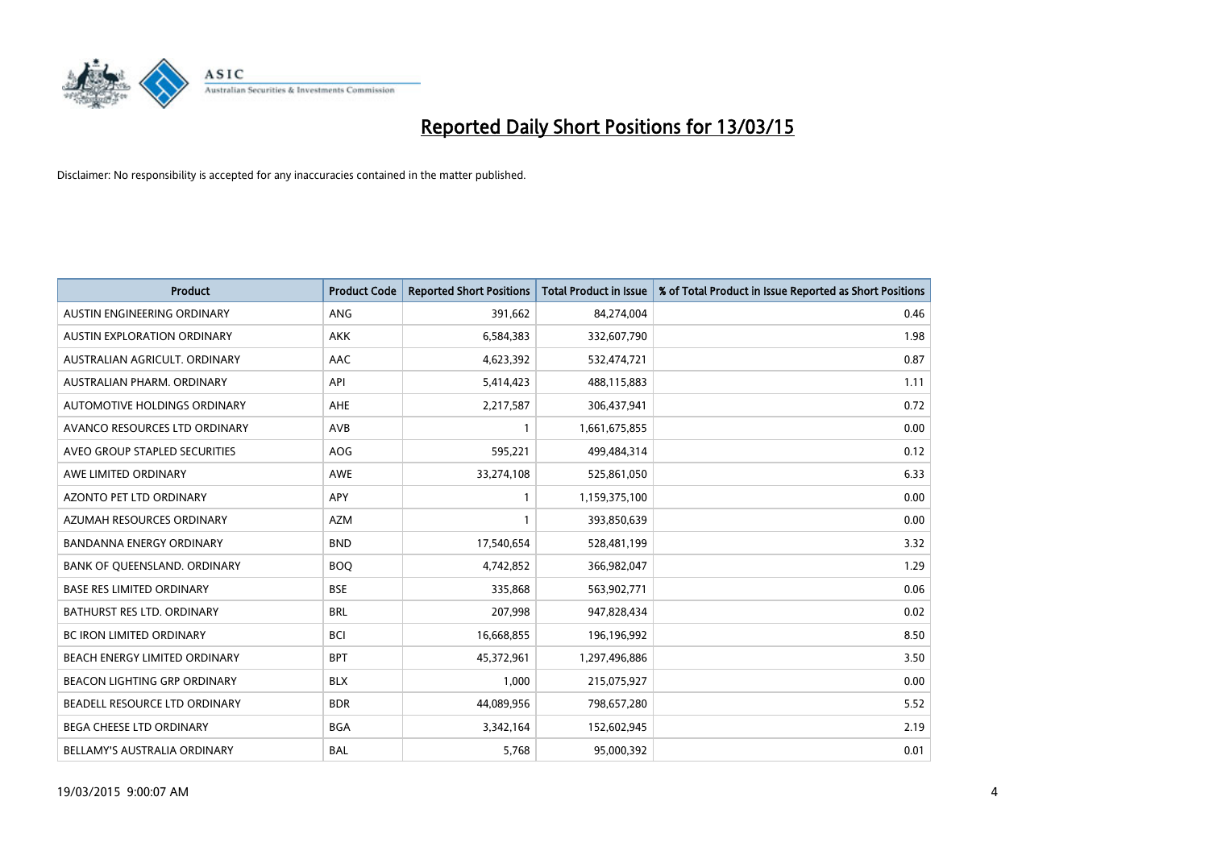

| <b>Product</b>                    | <b>Product Code</b> | <b>Reported Short Positions</b> | <b>Total Product in Issue</b> | % of Total Product in Issue Reported as Short Positions |
|-----------------------------------|---------------------|---------------------------------|-------------------------------|---------------------------------------------------------|
| AUSTIN ENGINEERING ORDINARY       | ANG                 | 391,662                         | 84,274,004                    | 0.46                                                    |
| AUSTIN EXPLORATION ORDINARY       | <b>AKK</b>          | 6,584,383                       | 332,607,790                   | 1.98                                                    |
| AUSTRALIAN AGRICULT, ORDINARY     | AAC                 | 4,623,392                       | 532,474,721                   | 0.87                                                    |
| AUSTRALIAN PHARM. ORDINARY        | API                 | 5,414,423                       | 488,115,883                   | 1.11                                                    |
| AUTOMOTIVE HOLDINGS ORDINARY      | AHE                 | 2,217,587                       | 306,437,941                   | 0.72                                                    |
| AVANCO RESOURCES LTD ORDINARY     | AVB                 | 1                               | 1,661,675,855                 | 0.00                                                    |
| AVEO GROUP STAPLED SECURITIES     | AOG                 | 595,221                         | 499,484,314                   | 0.12                                                    |
| AWE LIMITED ORDINARY              | AWE                 | 33,274,108                      | 525,861,050                   | 6.33                                                    |
| <b>AZONTO PET LTD ORDINARY</b>    | APY                 | $\mathbf{1}$                    | 1,159,375,100                 | 0.00                                                    |
| AZUMAH RESOURCES ORDINARY         | <b>AZM</b>          | 1                               | 393,850,639                   | 0.00                                                    |
| BANDANNA ENERGY ORDINARY          | <b>BND</b>          | 17,540,654                      | 528,481,199                   | 3.32                                                    |
| BANK OF QUEENSLAND. ORDINARY      | <b>BOQ</b>          | 4,742,852                       | 366,982,047                   | 1.29                                                    |
| <b>BASE RES LIMITED ORDINARY</b>  | <b>BSE</b>          | 335,868                         | 563,902,771                   | 0.06                                                    |
| <b>BATHURST RES LTD. ORDINARY</b> | <b>BRL</b>          | 207,998                         | 947,828,434                   | 0.02                                                    |
| <b>BC IRON LIMITED ORDINARY</b>   | <b>BCI</b>          | 16,668,855                      | 196,196,992                   | 8.50                                                    |
| BEACH ENERGY LIMITED ORDINARY     | <b>BPT</b>          | 45,372,961                      | 1,297,496,886                 | 3.50                                                    |
| BEACON LIGHTING GRP ORDINARY      | <b>BLX</b>          | 1,000                           | 215,075,927                   | 0.00                                                    |
| BEADELL RESOURCE LTD ORDINARY     | <b>BDR</b>          | 44,089,956                      | 798,657,280                   | 5.52                                                    |
| <b>BEGA CHEESE LTD ORDINARY</b>   | <b>BGA</b>          | 3,342,164                       | 152,602,945                   | 2.19                                                    |
| BELLAMY'S AUSTRALIA ORDINARY      | <b>BAL</b>          | 5,768                           | 95,000,392                    | 0.01                                                    |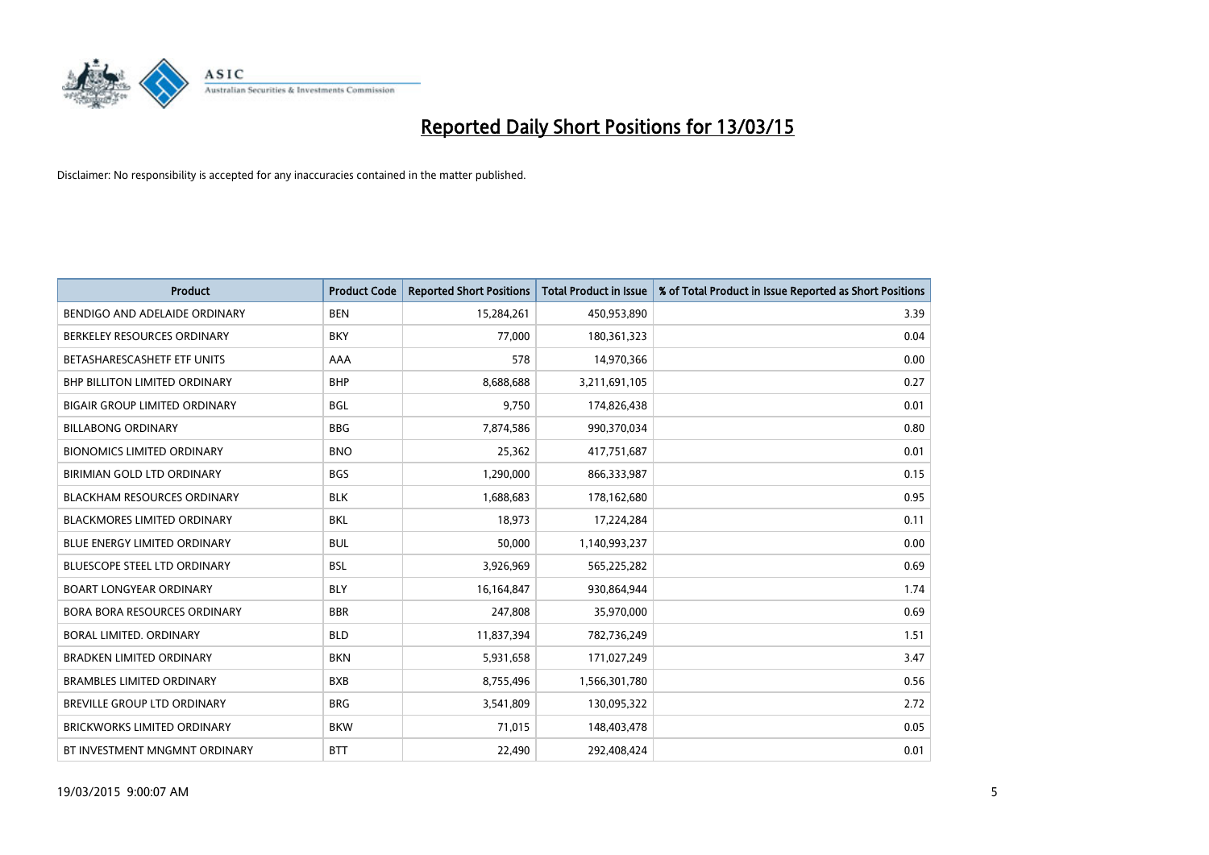

| <b>Product</b>                       | <b>Product Code</b> | <b>Reported Short Positions</b> | <b>Total Product in Issue</b> | % of Total Product in Issue Reported as Short Positions |
|--------------------------------------|---------------------|---------------------------------|-------------------------------|---------------------------------------------------------|
| BENDIGO AND ADELAIDE ORDINARY        | <b>BEN</b>          | 15,284,261                      | 450,953,890                   | 3.39                                                    |
| BERKELEY RESOURCES ORDINARY          | <b>BKY</b>          | 77,000                          | 180, 361, 323                 | 0.04                                                    |
| BETASHARESCASHETF ETF UNITS          | AAA                 | 578                             | 14,970,366                    | 0.00                                                    |
| BHP BILLITON LIMITED ORDINARY        | <b>BHP</b>          | 8,688,688                       | 3,211,691,105                 | 0.27                                                    |
| <b>BIGAIR GROUP LIMITED ORDINARY</b> | <b>BGL</b>          | 9,750                           | 174,826,438                   | 0.01                                                    |
| <b>BILLABONG ORDINARY</b>            | <b>BBG</b>          | 7,874,586                       | 990,370,034                   | 0.80                                                    |
| <b>BIONOMICS LIMITED ORDINARY</b>    | <b>BNO</b>          | 25,362                          | 417,751,687                   | 0.01                                                    |
| BIRIMIAN GOLD LTD ORDINARY           | <b>BGS</b>          | 1,290,000                       | 866,333,987                   | 0.15                                                    |
| <b>BLACKHAM RESOURCES ORDINARY</b>   | <b>BLK</b>          | 1,688,683                       | 178,162,680                   | 0.95                                                    |
| <b>BLACKMORES LIMITED ORDINARY</b>   | <b>BKL</b>          | 18,973                          | 17,224,284                    | 0.11                                                    |
| <b>BLUE ENERGY LIMITED ORDINARY</b>  | <b>BUL</b>          | 50,000                          | 1,140,993,237                 | 0.00                                                    |
| <b>BLUESCOPE STEEL LTD ORDINARY</b>  | <b>BSL</b>          | 3,926,969                       | 565,225,282                   | 0.69                                                    |
| <b>BOART LONGYEAR ORDINARY</b>       | <b>BLY</b>          | 16,164,847                      | 930,864,944                   | 1.74                                                    |
| <b>BORA BORA RESOURCES ORDINARY</b>  | <b>BBR</b>          | 247,808                         | 35,970,000                    | 0.69                                                    |
| <b>BORAL LIMITED, ORDINARY</b>       | <b>BLD</b>          | 11,837,394                      | 782,736,249                   | 1.51                                                    |
| <b>BRADKEN LIMITED ORDINARY</b>      | <b>BKN</b>          | 5,931,658                       | 171,027,249                   | 3.47                                                    |
| <b>BRAMBLES LIMITED ORDINARY</b>     | <b>BXB</b>          | 8,755,496                       | 1,566,301,780                 | 0.56                                                    |
| BREVILLE GROUP LTD ORDINARY          | <b>BRG</b>          | 3,541,809                       | 130,095,322                   | 2.72                                                    |
| <b>BRICKWORKS LIMITED ORDINARY</b>   | <b>BKW</b>          | 71,015                          | 148,403,478                   | 0.05                                                    |
| BT INVESTMENT MNGMNT ORDINARY        | <b>BTT</b>          | 22,490                          | 292,408,424                   | 0.01                                                    |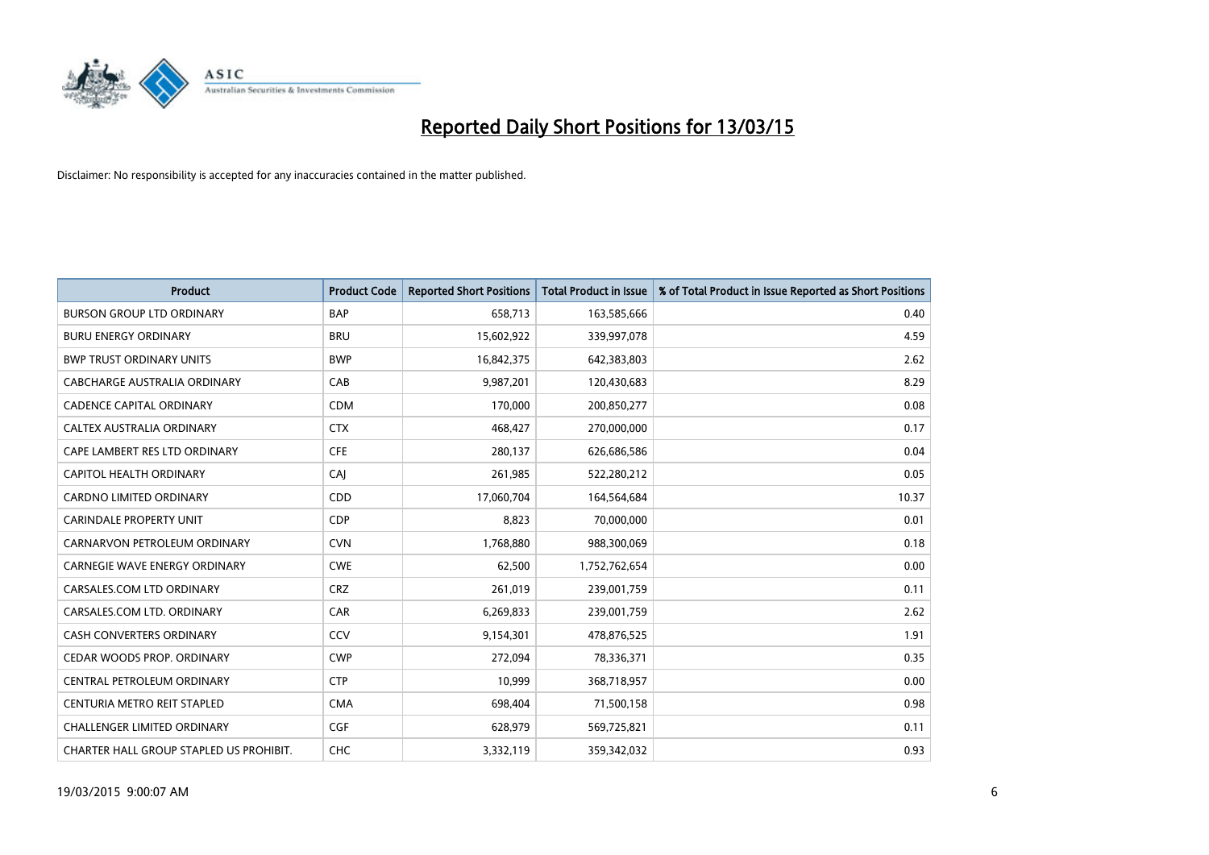

| <b>Product</b>                          | <b>Product Code</b> | <b>Reported Short Positions</b> | <b>Total Product in Issue</b> | % of Total Product in Issue Reported as Short Positions |
|-----------------------------------------|---------------------|---------------------------------|-------------------------------|---------------------------------------------------------|
| <b>BURSON GROUP LTD ORDINARY</b>        | <b>BAP</b>          | 658,713                         | 163,585,666                   | 0.40                                                    |
| <b>BURU ENERGY ORDINARY</b>             | <b>BRU</b>          | 15,602,922                      | 339,997,078                   | 4.59                                                    |
| <b>BWP TRUST ORDINARY UNITS</b>         | <b>BWP</b>          | 16,842,375                      | 642,383,803                   | 2.62                                                    |
| CABCHARGE AUSTRALIA ORDINARY            | CAB                 | 9,987,201                       | 120,430,683                   | 8.29                                                    |
| <b>CADENCE CAPITAL ORDINARY</b>         | <b>CDM</b>          | 170,000                         | 200,850,277                   | 0.08                                                    |
| CALTEX AUSTRALIA ORDINARY               | <b>CTX</b>          | 468,427                         | 270,000,000                   | 0.17                                                    |
| CAPE LAMBERT RES LTD ORDINARY           | <b>CFE</b>          | 280,137                         | 626,686,586                   | 0.04                                                    |
| <b>CAPITOL HEALTH ORDINARY</b>          | CAJ                 | 261,985                         | 522,280,212                   | 0.05                                                    |
| CARDNO LIMITED ORDINARY                 | CDD                 | 17,060,704                      | 164,564,684                   | 10.37                                                   |
| <b>CARINDALE PROPERTY UNIT</b>          | <b>CDP</b>          | 8,823                           | 70,000,000                    | 0.01                                                    |
| CARNARVON PETROLEUM ORDINARY            | <b>CVN</b>          | 1,768,880                       | 988,300,069                   | 0.18                                                    |
| <b>CARNEGIE WAVE ENERGY ORDINARY</b>    | <b>CWE</b>          | 62,500                          | 1,752,762,654                 | 0.00                                                    |
| CARSALES.COM LTD ORDINARY               | <b>CRZ</b>          | 261,019                         | 239,001,759                   | 0.11                                                    |
| CARSALES.COM LTD. ORDINARY              | CAR                 | 6,269,833                       | 239,001,759                   | 2.62                                                    |
| <b>CASH CONVERTERS ORDINARY</b>         | CCV                 | 9,154,301                       | 478,876,525                   | 1.91                                                    |
| CEDAR WOODS PROP. ORDINARY              | <b>CWP</b>          | 272,094                         | 78,336,371                    | 0.35                                                    |
| CENTRAL PETROLEUM ORDINARY              | <b>CTP</b>          | 10,999                          | 368,718,957                   | 0.00                                                    |
| CENTURIA METRO REIT STAPLED             | <b>CMA</b>          | 698,404                         | 71,500,158                    | 0.98                                                    |
| <b>CHALLENGER LIMITED ORDINARY</b>      | <b>CGF</b>          | 628,979                         | 569,725,821                   | 0.11                                                    |
| CHARTER HALL GROUP STAPLED US PROHIBIT. | <b>CHC</b>          | 3,332,119                       | 359,342,032                   | 0.93                                                    |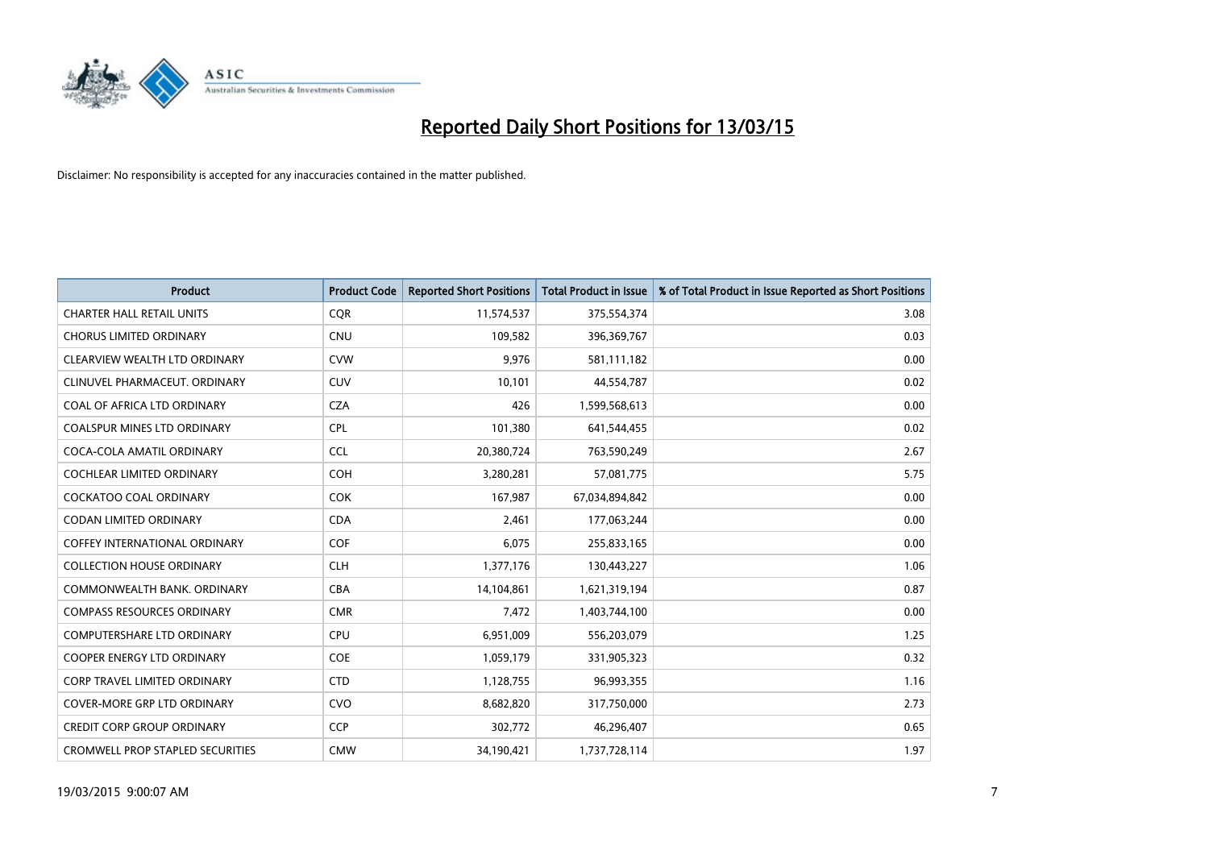

| Product                                 | <b>Product Code</b> | <b>Reported Short Positions</b> | <b>Total Product in Issue</b> | % of Total Product in Issue Reported as Short Positions |
|-----------------------------------------|---------------------|---------------------------------|-------------------------------|---------------------------------------------------------|
| <b>CHARTER HALL RETAIL UNITS</b>        | <b>COR</b>          | 11,574,537                      | 375,554,374                   | 3.08                                                    |
| <b>CHORUS LIMITED ORDINARY</b>          | <b>CNU</b>          | 109,582                         | 396,369,767                   | 0.03                                                    |
| CLEARVIEW WEALTH LTD ORDINARY           | <b>CVW</b>          | 9,976                           | 581,111,182                   | 0.00                                                    |
| CLINUVEL PHARMACEUT. ORDINARY           | <b>CUV</b>          | 10,101                          | 44,554,787                    | 0.02                                                    |
| COAL OF AFRICA LTD ORDINARY             | <b>CZA</b>          | 426                             | 1,599,568,613                 | 0.00                                                    |
| <b>COALSPUR MINES LTD ORDINARY</b>      | <b>CPL</b>          | 101,380                         | 641,544,455                   | 0.02                                                    |
| COCA-COLA AMATIL ORDINARY               | <b>CCL</b>          | 20,380,724                      | 763,590,249                   | 2.67                                                    |
| COCHLEAR LIMITED ORDINARY               | <b>COH</b>          | 3,280,281                       | 57,081,775                    | 5.75                                                    |
| <b>COCKATOO COAL ORDINARY</b>           | <b>COK</b>          | 167,987                         | 67,034,894,842                | 0.00                                                    |
| <b>CODAN LIMITED ORDINARY</b>           | <b>CDA</b>          | 2,461                           | 177,063,244                   | 0.00                                                    |
| COFFEY INTERNATIONAL ORDINARY           | <b>COF</b>          | 6,075                           | 255,833,165                   | 0.00                                                    |
| <b>COLLECTION HOUSE ORDINARY</b>        | <b>CLH</b>          | 1,377,176                       | 130,443,227                   | 1.06                                                    |
| COMMONWEALTH BANK, ORDINARY             | <b>CBA</b>          | 14,104,861                      | 1,621,319,194                 | 0.87                                                    |
| <b>COMPASS RESOURCES ORDINARY</b>       | <b>CMR</b>          | 7,472                           | 1,403,744,100                 | 0.00                                                    |
| <b>COMPUTERSHARE LTD ORDINARY</b>       | <b>CPU</b>          | 6,951,009                       | 556,203,079                   | 1.25                                                    |
| COOPER ENERGY LTD ORDINARY              | <b>COE</b>          | 1,059,179                       | 331,905,323                   | 0.32                                                    |
| CORP TRAVEL LIMITED ORDINARY            | <b>CTD</b>          | 1,128,755                       | 96,993,355                    | 1.16                                                    |
| <b>COVER-MORE GRP LTD ORDINARY</b>      | <b>CVO</b>          | 8,682,820                       | 317,750,000                   | 2.73                                                    |
| <b>CREDIT CORP GROUP ORDINARY</b>       | <b>CCP</b>          | 302,772                         | 46,296,407                    | 0.65                                                    |
| <b>CROMWELL PROP STAPLED SECURITIES</b> | <b>CMW</b>          | 34,190,421                      | 1,737,728,114                 | 1.97                                                    |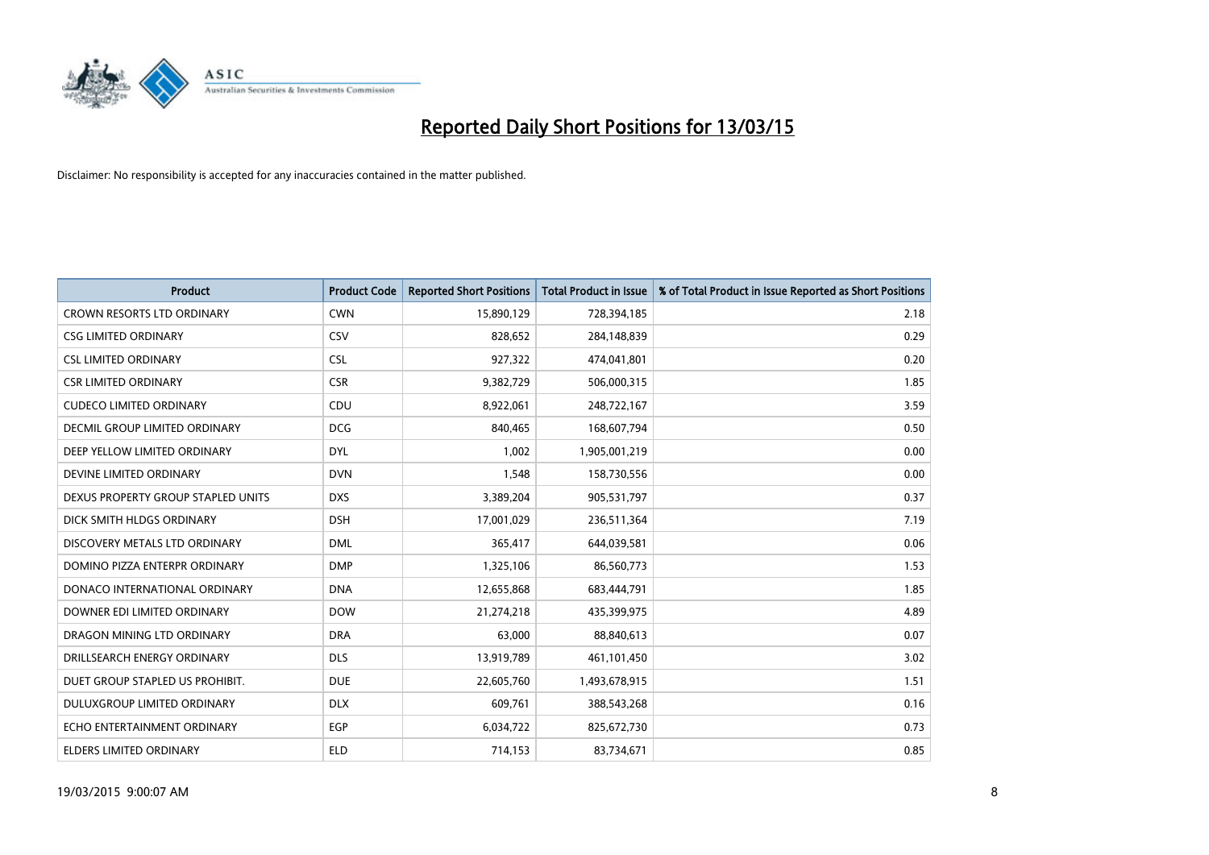

| <b>Product</b>                     | <b>Product Code</b> | <b>Reported Short Positions</b> | <b>Total Product in Issue</b> | % of Total Product in Issue Reported as Short Positions |
|------------------------------------|---------------------|---------------------------------|-------------------------------|---------------------------------------------------------|
| <b>CROWN RESORTS LTD ORDINARY</b>  | <b>CWN</b>          | 15,890,129                      | 728,394,185                   | 2.18                                                    |
| <b>CSG LIMITED ORDINARY</b>        | CSV                 | 828,652                         | 284,148,839                   | 0.29                                                    |
| <b>CSL LIMITED ORDINARY</b>        | <b>CSL</b>          | 927,322                         | 474,041,801                   | 0.20                                                    |
| <b>CSR LIMITED ORDINARY</b>        | <b>CSR</b>          | 9,382,729                       | 506,000,315                   | 1.85                                                    |
| <b>CUDECO LIMITED ORDINARY</b>     | CDU                 | 8,922,061                       | 248,722,167                   | 3.59                                                    |
| DECMIL GROUP LIMITED ORDINARY      | <b>DCG</b>          | 840,465                         | 168,607,794                   | 0.50                                                    |
| DEEP YELLOW LIMITED ORDINARY       | <b>DYL</b>          | 1,002                           | 1,905,001,219                 | 0.00                                                    |
| DEVINE LIMITED ORDINARY            | <b>DVN</b>          | 1,548                           | 158,730,556                   | 0.00                                                    |
| DEXUS PROPERTY GROUP STAPLED UNITS | <b>DXS</b>          | 3,389,204                       | 905,531,797                   | 0.37                                                    |
| DICK SMITH HLDGS ORDINARY          | <b>DSH</b>          | 17,001,029                      | 236,511,364                   | 7.19                                                    |
| DISCOVERY METALS LTD ORDINARY      | <b>DML</b>          | 365,417                         | 644,039,581                   | 0.06                                                    |
| DOMINO PIZZA ENTERPR ORDINARY      | <b>DMP</b>          | 1,325,106                       | 86,560,773                    | 1.53                                                    |
| DONACO INTERNATIONAL ORDINARY      | <b>DNA</b>          | 12,655,868                      | 683,444,791                   | 1.85                                                    |
| DOWNER EDI LIMITED ORDINARY        | <b>DOW</b>          | 21,274,218                      | 435,399,975                   | 4.89                                                    |
| DRAGON MINING LTD ORDINARY         | <b>DRA</b>          | 63,000                          | 88,840,613                    | 0.07                                                    |
| DRILLSEARCH ENERGY ORDINARY        | <b>DLS</b>          | 13,919,789                      | 461,101,450                   | 3.02                                                    |
| DUET GROUP STAPLED US PROHIBIT.    | <b>DUE</b>          | 22,605,760                      | 1,493,678,915                 | 1.51                                                    |
| DULUXGROUP LIMITED ORDINARY        | <b>DLX</b>          | 609,761                         | 388,543,268                   | 0.16                                                    |
| ECHO ENTERTAINMENT ORDINARY        | <b>EGP</b>          | 6,034,722                       | 825,672,730                   | 0.73                                                    |
| ELDERS LIMITED ORDINARY            | <b>ELD</b>          | 714,153                         | 83,734,671                    | 0.85                                                    |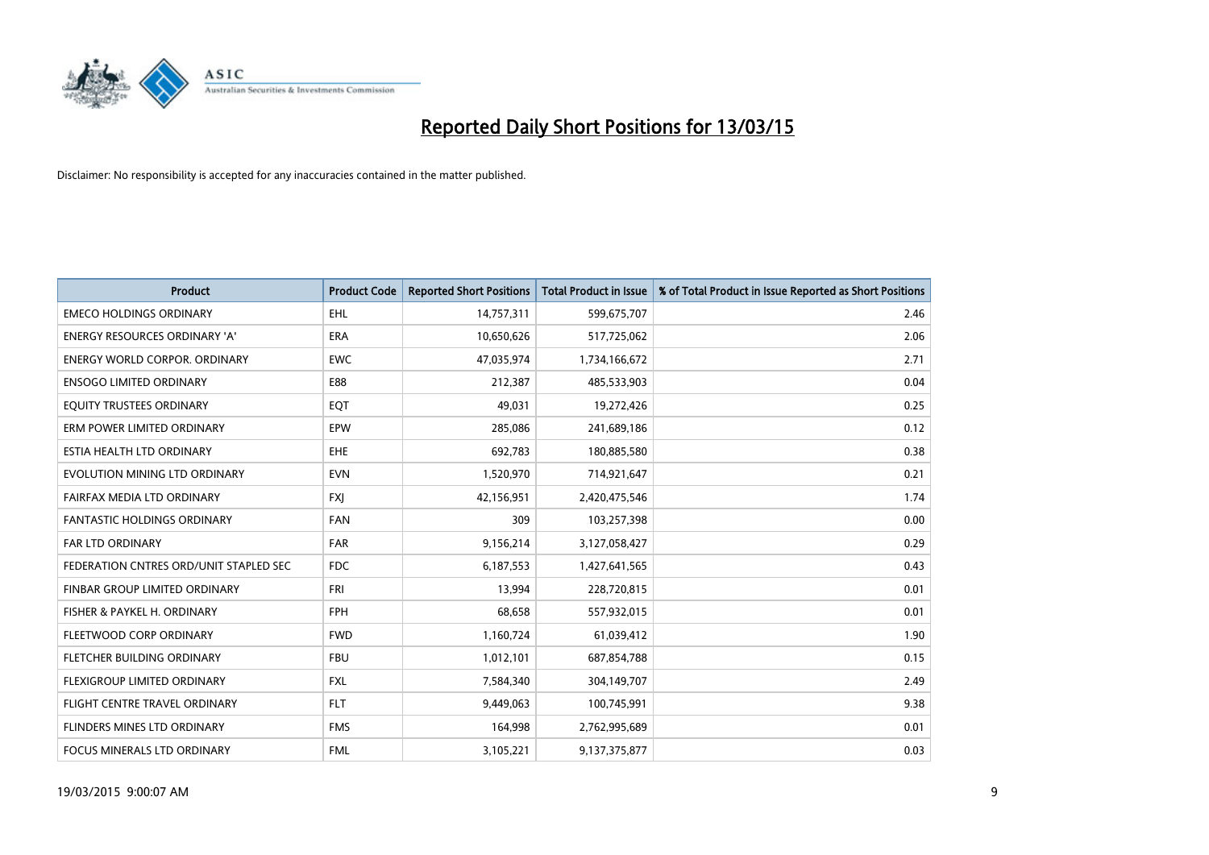

| <b>Product</b>                         | <b>Product Code</b> | <b>Reported Short Positions</b> | <b>Total Product in Issue</b> | % of Total Product in Issue Reported as Short Positions |
|----------------------------------------|---------------------|---------------------------------|-------------------------------|---------------------------------------------------------|
| <b>EMECO HOLDINGS ORDINARY</b>         | <b>EHL</b>          | 14,757,311                      | 599,675,707                   | 2.46                                                    |
| <b>ENERGY RESOURCES ORDINARY 'A'</b>   | <b>ERA</b>          | 10,650,626                      | 517,725,062                   | 2.06                                                    |
| <b>ENERGY WORLD CORPOR, ORDINARY</b>   | <b>EWC</b>          | 47,035,974                      | 1,734,166,672                 | 2.71                                                    |
| <b>ENSOGO LIMITED ORDINARY</b>         | E88                 | 212,387                         | 485,533,903                   | 0.04                                                    |
| EQUITY TRUSTEES ORDINARY               | EQT                 | 49,031                          | 19,272,426                    | 0.25                                                    |
| ERM POWER LIMITED ORDINARY             | EPW                 | 285,086                         | 241,689,186                   | 0.12                                                    |
| ESTIA HEALTH LTD ORDINARY              | EHE                 | 692,783                         | 180,885,580                   | 0.38                                                    |
| EVOLUTION MINING LTD ORDINARY          | <b>EVN</b>          | 1,520,970                       | 714,921,647                   | 0.21                                                    |
| FAIRFAX MEDIA LTD ORDINARY             | <b>FXJ</b>          | 42,156,951                      | 2,420,475,546                 | 1.74                                                    |
| <b>FANTASTIC HOLDINGS ORDINARY</b>     | <b>FAN</b>          | 309                             | 103,257,398                   | 0.00                                                    |
| FAR LTD ORDINARY                       | <b>FAR</b>          | 9,156,214                       | 3,127,058,427                 | 0.29                                                    |
| FEDERATION CNTRES ORD/UNIT STAPLED SEC | <b>FDC</b>          | 6,187,553                       | 1,427,641,565                 | 0.43                                                    |
| FINBAR GROUP LIMITED ORDINARY          | <b>FRI</b>          | 13,994                          | 228,720,815                   | 0.01                                                    |
| FISHER & PAYKEL H. ORDINARY            | <b>FPH</b>          | 68,658                          | 557,932,015                   | 0.01                                                    |
| FLEETWOOD CORP ORDINARY                | <b>FWD</b>          | 1,160,724                       | 61,039,412                    | 1.90                                                    |
| FLETCHER BUILDING ORDINARY             | <b>FBU</b>          | 1,012,101                       | 687,854,788                   | 0.15                                                    |
| FLEXIGROUP LIMITED ORDINARY            | FXL                 | 7,584,340                       | 304,149,707                   | 2.49                                                    |
| FLIGHT CENTRE TRAVEL ORDINARY          | <b>FLT</b>          | 9,449,063                       | 100,745,991                   | 9.38                                                    |
| FLINDERS MINES LTD ORDINARY            | <b>FMS</b>          | 164,998                         | 2,762,995,689                 | 0.01                                                    |
| FOCUS MINERALS LTD ORDINARY            | <b>FML</b>          | 3,105,221                       | 9,137,375,877                 | 0.03                                                    |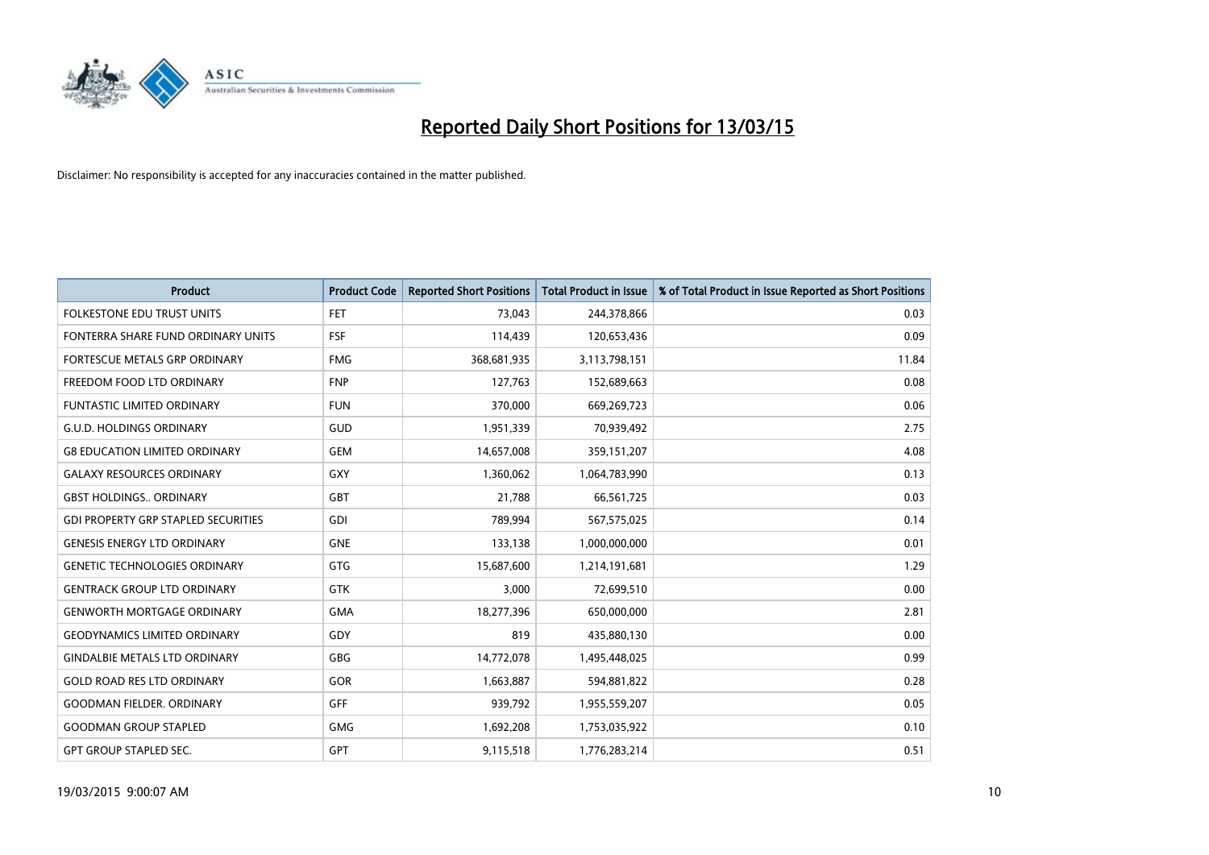

| <b>Product</b>                             | <b>Product Code</b> | <b>Reported Short Positions</b> | <b>Total Product in Issue</b> | % of Total Product in Issue Reported as Short Positions |
|--------------------------------------------|---------------------|---------------------------------|-------------------------------|---------------------------------------------------------|
| <b>FOLKESTONE EDU TRUST UNITS</b>          | <b>FET</b>          | 73,043                          | 244,378,866                   | 0.03                                                    |
| FONTERRA SHARE FUND ORDINARY UNITS         | <b>FSF</b>          | 114,439                         | 120,653,436                   | 0.09                                                    |
| <b>FORTESCUE METALS GRP ORDINARY</b>       | <b>FMG</b>          | 368,681,935                     | 3,113,798,151                 | 11.84                                                   |
| FREEDOM FOOD LTD ORDINARY                  | <b>FNP</b>          | 127,763                         | 152,689,663                   | 0.08                                                    |
| <b>FUNTASTIC LIMITED ORDINARY</b>          | <b>FUN</b>          | 370,000                         | 669,269,723                   | 0.06                                                    |
| <b>G.U.D. HOLDINGS ORDINARY</b>            | <b>GUD</b>          | 1,951,339                       | 70,939,492                    | 2.75                                                    |
| <b>G8 EDUCATION LIMITED ORDINARY</b>       | <b>GEM</b>          | 14,657,008                      | 359,151,207                   | 4.08                                                    |
| <b>GALAXY RESOURCES ORDINARY</b>           | GXY                 | 1,360,062                       | 1,064,783,990                 | 0.13                                                    |
| <b>GBST HOLDINGS., ORDINARY</b>            | GBT                 | 21,788                          | 66,561,725                    | 0.03                                                    |
| <b>GDI PROPERTY GRP STAPLED SECURITIES</b> | GDI                 | 789,994                         | 567,575,025                   | 0.14                                                    |
| <b>GENESIS ENERGY LTD ORDINARY</b>         | <b>GNE</b>          | 133,138                         | 1,000,000,000                 | 0.01                                                    |
| <b>GENETIC TECHNOLOGIES ORDINARY</b>       | GTG                 | 15,687,600                      | 1,214,191,681                 | 1.29                                                    |
| <b>GENTRACK GROUP LTD ORDINARY</b>         | GTK                 | 3,000                           | 72,699,510                    | 0.00                                                    |
| <b>GENWORTH MORTGAGE ORDINARY</b>          | <b>GMA</b>          | 18,277,396                      | 650,000,000                   | 2.81                                                    |
| <b>GEODYNAMICS LIMITED ORDINARY</b>        | GDY                 | 819                             | 435,880,130                   | 0.00                                                    |
| <b>GINDALBIE METALS LTD ORDINARY</b>       | GBG                 | 14,772,078                      | 1,495,448,025                 | 0.99                                                    |
| <b>GOLD ROAD RES LTD ORDINARY</b>          | GOR                 | 1,663,887                       | 594,881,822                   | 0.28                                                    |
| <b>GOODMAN FIELDER. ORDINARY</b>           | <b>GFF</b>          | 939,792                         | 1,955,559,207                 | 0.05                                                    |
| <b>GOODMAN GROUP STAPLED</b>               | <b>GMG</b>          | 1,692,208                       | 1,753,035,922                 | 0.10                                                    |
| <b>GPT GROUP STAPLED SEC.</b>              | <b>GPT</b>          | 9,115,518                       | 1,776,283,214                 | 0.51                                                    |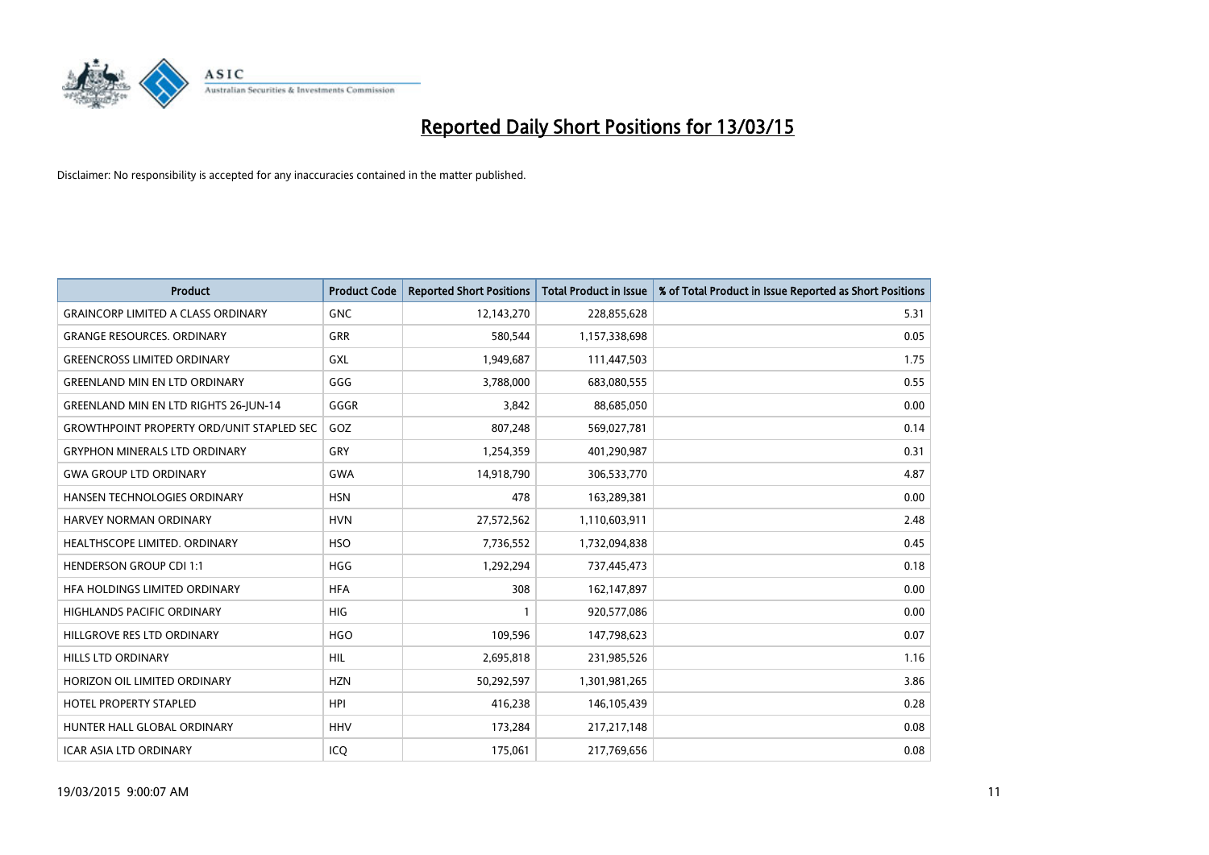

| <b>Product</b>                                   | <b>Product Code</b> | <b>Reported Short Positions</b> | <b>Total Product in Issue</b> | % of Total Product in Issue Reported as Short Positions |
|--------------------------------------------------|---------------------|---------------------------------|-------------------------------|---------------------------------------------------------|
| <b>GRAINCORP LIMITED A CLASS ORDINARY</b>        | <b>GNC</b>          | 12,143,270                      | 228,855,628                   | 5.31                                                    |
| <b>GRANGE RESOURCES. ORDINARY</b>                | GRR                 | 580,544                         | 1,157,338,698                 | 0.05                                                    |
| <b>GREENCROSS LIMITED ORDINARY</b>               | <b>GXL</b>          | 1,949,687                       | 111,447,503                   | 1.75                                                    |
| <b>GREENLAND MIN EN LTD ORDINARY</b>             | GGG                 | 3,788,000                       | 683,080,555                   | 0.55                                                    |
| <b>GREENLAND MIN EN LTD RIGHTS 26-JUN-14</b>     | GGGR                | 3,842                           | 88,685,050                    | 0.00                                                    |
| <b>GROWTHPOINT PROPERTY ORD/UNIT STAPLED SEC</b> | GOZ                 | 807,248                         | 569,027,781                   | 0.14                                                    |
| <b>GRYPHON MINERALS LTD ORDINARY</b>             | <b>GRY</b>          | 1,254,359                       | 401,290,987                   | 0.31                                                    |
| <b>GWA GROUP LTD ORDINARY</b>                    | <b>GWA</b>          | 14,918,790                      | 306,533,770                   | 4.87                                                    |
| HANSEN TECHNOLOGIES ORDINARY                     | <b>HSN</b>          | 478                             | 163,289,381                   | 0.00                                                    |
| <b>HARVEY NORMAN ORDINARY</b>                    | <b>HVN</b>          | 27,572,562                      | 1,110,603,911                 | 2.48                                                    |
| HEALTHSCOPE LIMITED. ORDINARY                    | <b>HSO</b>          | 7,736,552                       | 1,732,094,838                 | 0.45                                                    |
| <b>HENDERSON GROUP CDI 1:1</b>                   | <b>HGG</b>          | 1,292,294                       | 737,445,473                   | 0.18                                                    |
| HFA HOLDINGS LIMITED ORDINARY                    | <b>HFA</b>          | 308                             | 162,147,897                   | 0.00                                                    |
| HIGHLANDS PACIFIC ORDINARY                       | HIG                 | $\mathbf{1}$                    | 920,577,086                   | 0.00                                                    |
| HILLGROVE RES LTD ORDINARY                       | <b>HGO</b>          | 109,596                         | 147,798,623                   | 0.07                                                    |
| HILLS LTD ORDINARY                               | <b>HIL</b>          | 2,695,818                       | 231,985,526                   | 1.16                                                    |
| HORIZON OIL LIMITED ORDINARY                     | <b>HZN</b>          | 50,292,597                      | 1,301,981,265                 | 3.86                                                    |
| <b>HOTEL PROPERTY STAPLED</b>                    | <b>HPI</b>          | 416,238                         | 146,105,439                   | 0.28                                                    |
| HUNTER HALL GLOBAL ORDINARY                      | <b>HHV</b>          | 173,284                         | 217, 217, 148                 | 0.08                                                    |
| ICAR ASIA LTD ORDINARY                           | ICQ                 | 175,061                         | 217,769,656                   | 0.08                                                    |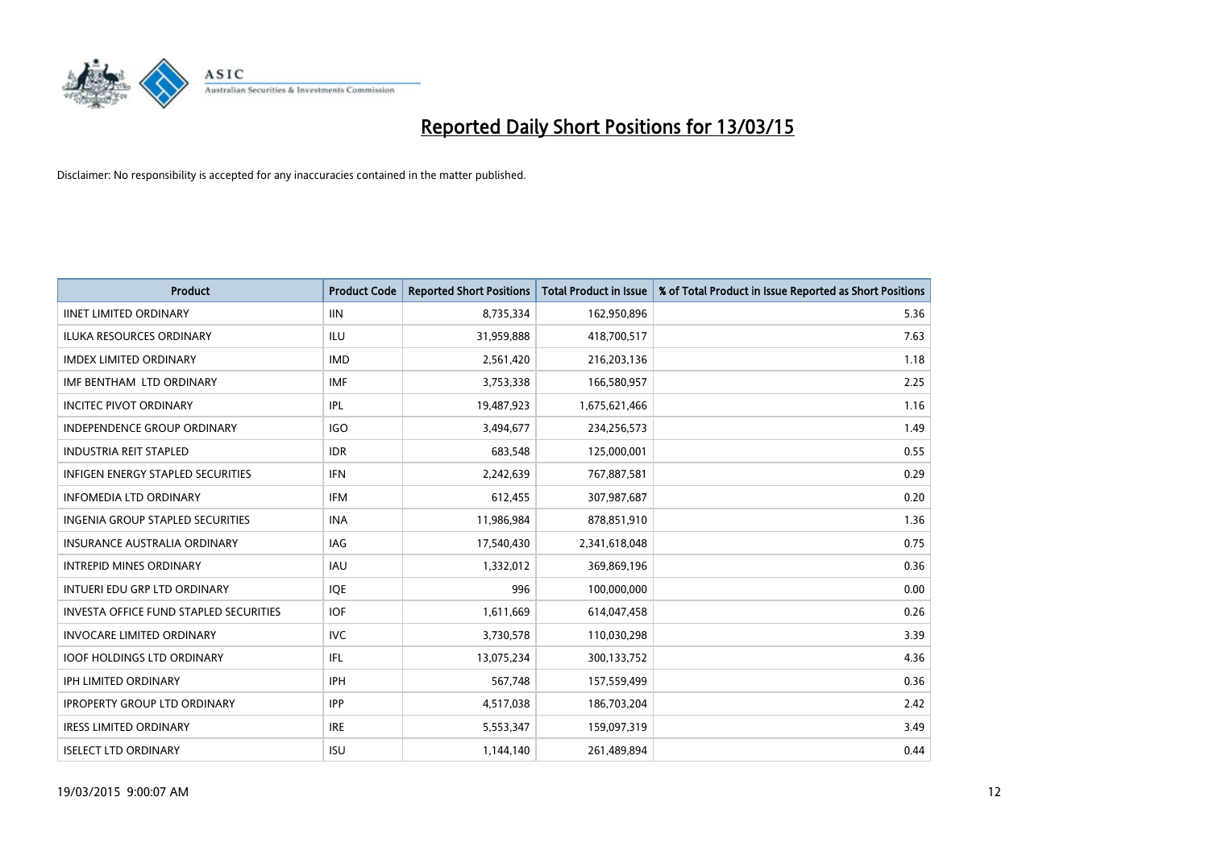

| <b>Product</b>                                | <b>Product Code</b> | <b>Reported Short Positions</b> | <b>Total Product in Issue</b> | % of Total Product in Issue Reported as Short Positions |
|-----------------------------------------------|---------------------|---------------------------------|-------------------------------|---------------------------------------------------------|
| <b>IINET LIMITED ORDINARY</b>                 | <b>IIN</b>          | 8,735,334                       | 162,950,896                   | 5.36                                                    |
| ILUKA RESOURCES ORDINARY                      | ILU                 | 31,959,888                      | 418,700,517                   | 7.63                                                    |
| <b>IMDEX LIMITED ORDINARY</b>                 | <b>IMD</b>          | 2,561,420                       | 216,203,136                   | 1.18                                                    |
| IMF BENTHAM LTD ORDINARY                      | <b>IMF</b>          | 3,753,338                       | 166,580,957                   | 2.25                                                    |
| <b>INCITEC PIVOT ORDINARY</b>                 | IPL                 | 19,487,923                      | 1,675,621,466                 | 1.16                                                    |
| <b>INDEPENDENCE GROUP ORDINARY</b>            | <b>IGO</b>          | 3,494,677                       | 234,256,573                   | 1.49                                                    |
| <b>INDUSTRIA REIT STAPLED</b>                 | <b>IDR</b>          | 683,548                         | 125,000,001                   | 0.55                                                    |
| <b>INFIGEN ENERGY STAPLED SECURITIES</b>      | <b>IFN</b>          | 2,242,639                       | 767,887,581                   | 0.29                                                    |
| <b>INFOMEDIA LTD ORDINARY</b>                 | <b>IFM</b>          | 612,455                         | 307,987,687                   | 0.20                                                    |
| INGENIA GROUP STAPLED SECURITIES              | <b>INA</b>          | 11,986,984                      | 878,851,910                   | 1.36                                                    |
| <b>INSURANCE AUSTRALIA ORDINARY</b>           | IAG                 | 17,540,430                      | 2,341,618,048                 | 0.75                                                    |
| <b>INTREPID MINES ORDINARY</b>                | IAU                 | 1,332,012                       | 369,869,196                   | 0.36                                                    |
| INTUERI EDU GRP LTD ORDINARY                  | IQE                 | 996                             | 100,000,000                   | 0.00                                                    |
| <b>INVESTA OFFICE FUND STAPLED SECURITIES</b> | <b>IOF</b>          | 1,611,669                       | 614,047,458                   | 0.26                                                    |
| <b>INVOCARE LIMITED ORDINARY</b>              | <b>IVC</b>          | 3,730,578                       | 110,030,298                   | 3.39                                                    |
| <b>IOOF HOLDINGS LTD ORDINARY</b>             | IFL                 | 13,075,234                      | 300,133,752                   | 4.36                                                    |
| <b>IPH LIMITED ORDINARY</b>                   | <b>IPH</b>          | 567,748                         | 157,559,499                   | 0.36                                                    |
| <b>IPROPERTY GROUP LTD ORDINARY</b>           | <b>IPP</b>          | 4,517,038                       | 186,703,204                   | 2.42                                                    |
| <b>IRESS LIMITED ORDINARY</b>                 | <b>IRE</b>          | 5,553,347                       | 159,097,319                   | 3.49                                                    |
| <b>ISELECT LTD ORDINARY</b>                   | <b>ISU</b>          | 1,144,140                       | 261,489,894                   | 0.44                                                    |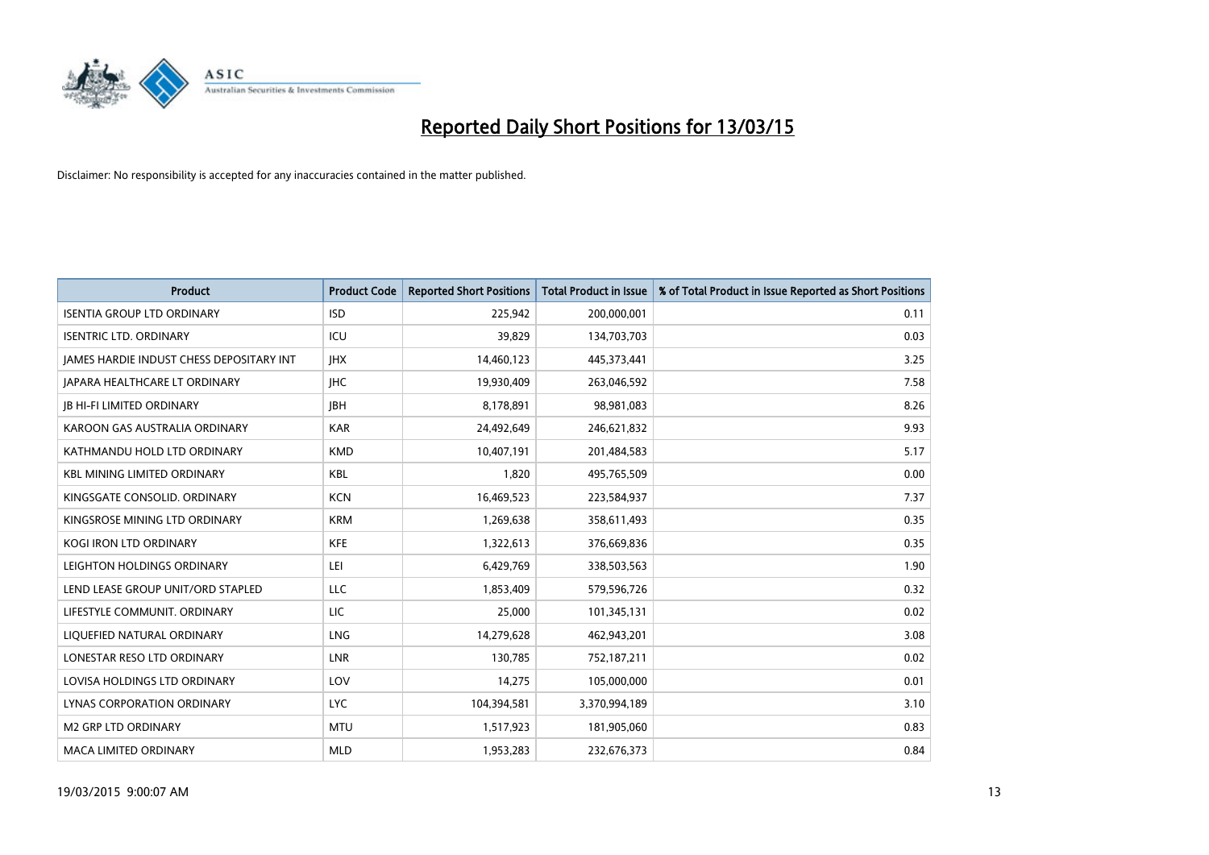

| <b>Product</b>                                  | <b>Product Code</b> | <b>Reported Short Positions</b> | <b>Total Product in Issue</b> | % of Total Product in Issue Reported as Short Positions |
|-------------------------------------------------|---------------------|---------------------------------|-------------------------------|---------------------------------------------------------|
| <b>ISENTIA GROUP LTD ORDINARY</b>               | <b>ISD</b>          | 225,942                         | 200,000,001                   | 0.11                                                    |
| <b>ISENTRIC LTD. ORDINARY</b>                   | ICU                 | 39,829                          | 134,703,703                   | 0.03                                                    |
| <b>JAMES HARDIE INDUST CHESS DEPOSITARY INT</b> | <b>IHX</b>          | 14,460,123                      | 445,373,441                   | 3.25                                                    |
| JAPARA HEALTHCARE LT ORDINARY                   | <b>IHC</b>          | 19,930,409                      | 263,046,592                   | 7.58                                                    |
| <b>JB HI-FI LIMITED ORDINARY</b>                | <b>IBH</b>          | 8,178,891                       | 98,981,083                    | 8.26                                                    |
| KAROON GAS AUSTRALIA ORDINARY                   | <b>KAR</b>          | 24,492,649                      | 246,621,832                   | 9.93                                                    |
| KATHMANDU HOLD LTD ORDINARY                     | <b>KMD</b>          | 10,407,191                      | 201,484,583                   | 5.17                                                    |
| <b>KBL MINING LIMITED ORDINARY</b>              | <b>KBL</b>          | 1.820                           | 495,765,509                   | 0.00                                                    |
| KINGSGATE CONSOLID, ORDINARY                    | <b>KCN</b>          | 16,469,523                      | 223,584,937                   | 7.37                                                    |
| KINGSROSE MINING LTD ORDINARY                   | <b>KRM</b>          | 1,269,638                       | 358,611,493                   | 0.35                                                    |
| KOGI IRON LTD ORDINARY                          | <b>KFE</b>          | 1,322,613                       | 376,669,836                   | 0.35                                                    |
| LEIGHTON HOLDINGS ORDINARY                      | LEI                 | 6,429,769                       | 338,503,563                   | 1.90                                                    |
| LEND LEASE GROUP UNIT/ORD STAPLED               | <b>LLC</b>          | 1,853,409                       | 579,596,726                   | 0.32                                                    |
| LIFESTYLE COMMUNIT, ORDINARY                    | LIC                 | 25,000                          | 101,345,131                   | 0.02                                                    |
| LIQUEFIED NATURAL ORDINARY                      | <b>LNG</b>          | 14,279,628                      | 462,943,201                   | 3.08                                                    |
| LONESTAR RESO LTD ORDINARY                      | <b>LNR</b>          | 130,785                         | 752,187,211                   | 0.02                                                    |
| LOVISA HOLDINGS LTD ORDINARY                    | LOV                 | 14,275                          | 105,000,000                   | 0.01                                                    |
| LYNAS CORPORATION ORDINARY                      | <b>LYC</b>          | 104,394,581                     | 3,370,994,189                 | 3.10                                                    |
| <b>M2 GRP LTD ORDINARY</b>                      | <b>MTU</b>          | 1,517,923                       | 181,905,060                   | 0.83                                                    |
| MACA LIMITED ORDINARY                           | <b>MLD</b>          | 1,953,283                       | 232,676,373                   | 0.84                                                    |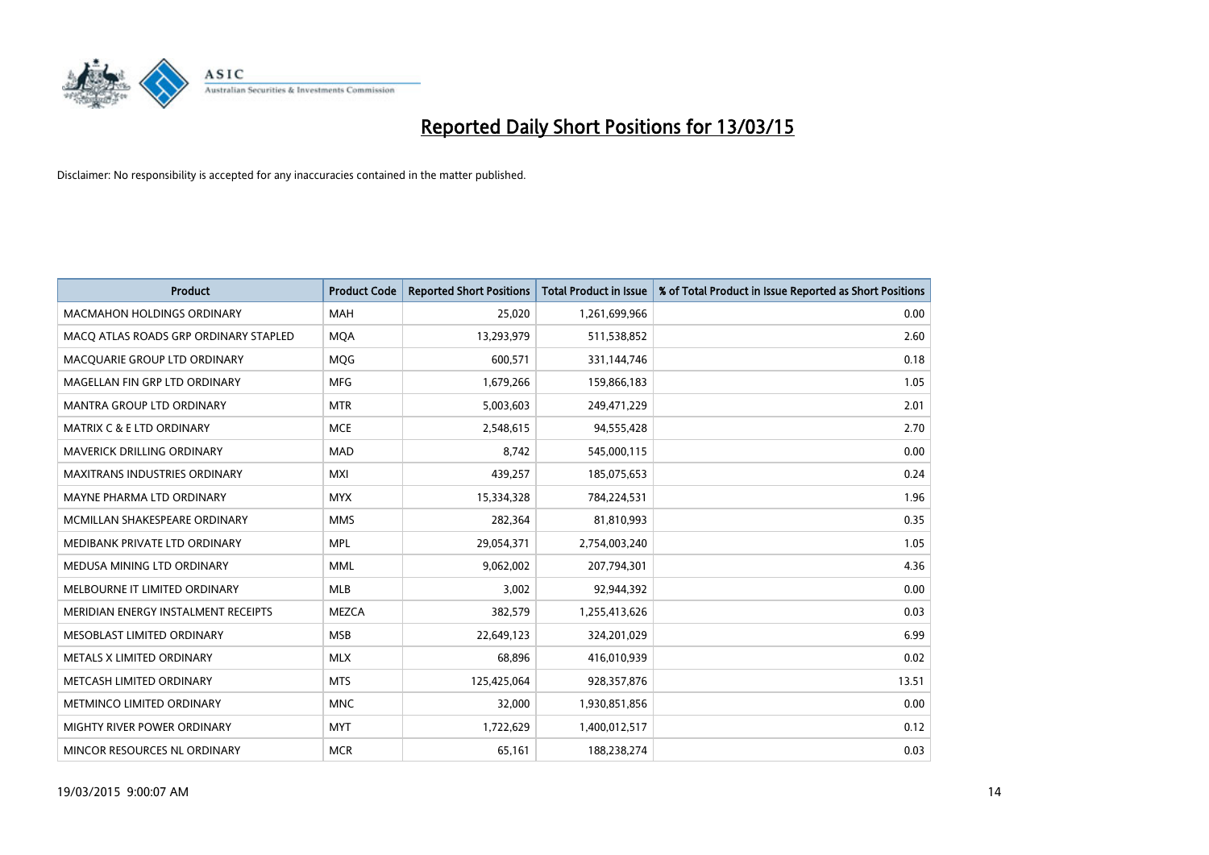

| <b>Product</b>                        | <b>Product Code</b> | <b>Reported Short Positions</b> | <b>Total Product in Issue</b> | % of Total Product in Issue Reported as Short Positions |
|---------------------------------------|---------------------|---------------------------------|-------------------------------|---------------------------------------------------------|
| <b>MACMAHON HOLDINGS ORDINARY</b>     | <b>MAH</b>          | 25,020                          | 1,261,699,966                 | 0.00                                                    |
| MACO ATLAS ROADS GRP ORDINARY STAPLED | <b>MOA</b>          | 13,293,979                      | 511,538,852                   | 2.60                                                    |
| MACQUARIE GROUP LTD ORDINARY          | <b>MOG</b>          | 600,571                         | 331,144,746                   | 0.18                                                    |
| MAGELLAN FIN GRP LTD ORDINARY         | <b>MFG</b>          | 1,679,266                       | 159,866,183                   | 1.05                                                    |
| <b>MANTRA GROUP LTD ORDINARY</b>      | <b>MTR</b>          | 5,003,603                       | 249,471,229                   | 2.01                                                    |
| <b>MATRIX C &amp; E LTD ORDINARY</b>  | <b>MCE</b>          | 2,548,615                       | 94,555,428                    | 2.70                                                    |
| <b>MAVERICK DRILLING ORDINARY</b>     | <b>MAD</b>          | 8,742                           | 545,000,115                   | 0.00                                                    |
| MAXITRANS INDUSTRIES ORDINARY         | <b>MXI</b>          | 439,257                         | 185,075,653                   | 0.24                                                    |
| MAYNE PHARMA LTD ORDINARY             | <b>MYX</b>          | 15,334,328                      | 784,224,531                   | 1.96                                                    |
| MCMILLAN SHAKESPEARE ORDINARY         | <b>MMS</b>          | 282,364                         | 81,810,993                    | 0.35                                                    |
| MEDIBANK PRIVATE LTD ORDINARY         | <b>MPL</b>          | 29,054,371                      | 2,754,003,240                 | 1.05                                                    |
| MEDUSA MINING LTD ORDINARY            | <b>MML</b>          | 9,062,002                       | 207,794,301                   | 4.36                                                    |
| MELBOURNE IT LIMITED ORDINARY         | <b>MLB</b>          | 3,002                           | 92,944,392                    | 0.00                                                    |
| MERIDIAN ENERGY INSTALMENT RECEIPTS   | <b>MEZCA</b>        | 382,579                         | 1,255,413,626                 | 0.03                                                    |
| MESOBLAST LIMITED ORDINARY            | <b>MSB</b>          | 22,649,123                      | 324,201,029                   | 6.99                                                    |
| METALS X LIMITED ORDINARY             | <b>MLX</b>          | 68,896                          | 416,010,939                   | 0.02                                                    |
| METCASH LIMITED ORDINARY              | <b>MTS</b>          | 125,425,064                     | 928,357,876                   | 13.51                                                   |
| METMINCO LIMITED ORDINARY             | <b>MNC</b>          | 32,000                          | 1,930,851,856                 | 0.00                                                    |
| MIGHTY RIVER POWER ORDINARY           | <b>MYT</b>          | 1,722,629                       | 1,400,012,517                 | 0.12                                                    |
| MINCOR RESOURCES NL ORDINARY          | <b>MCR</b>          | 65,161                          | 188,238,274                   | 0.03                                                    |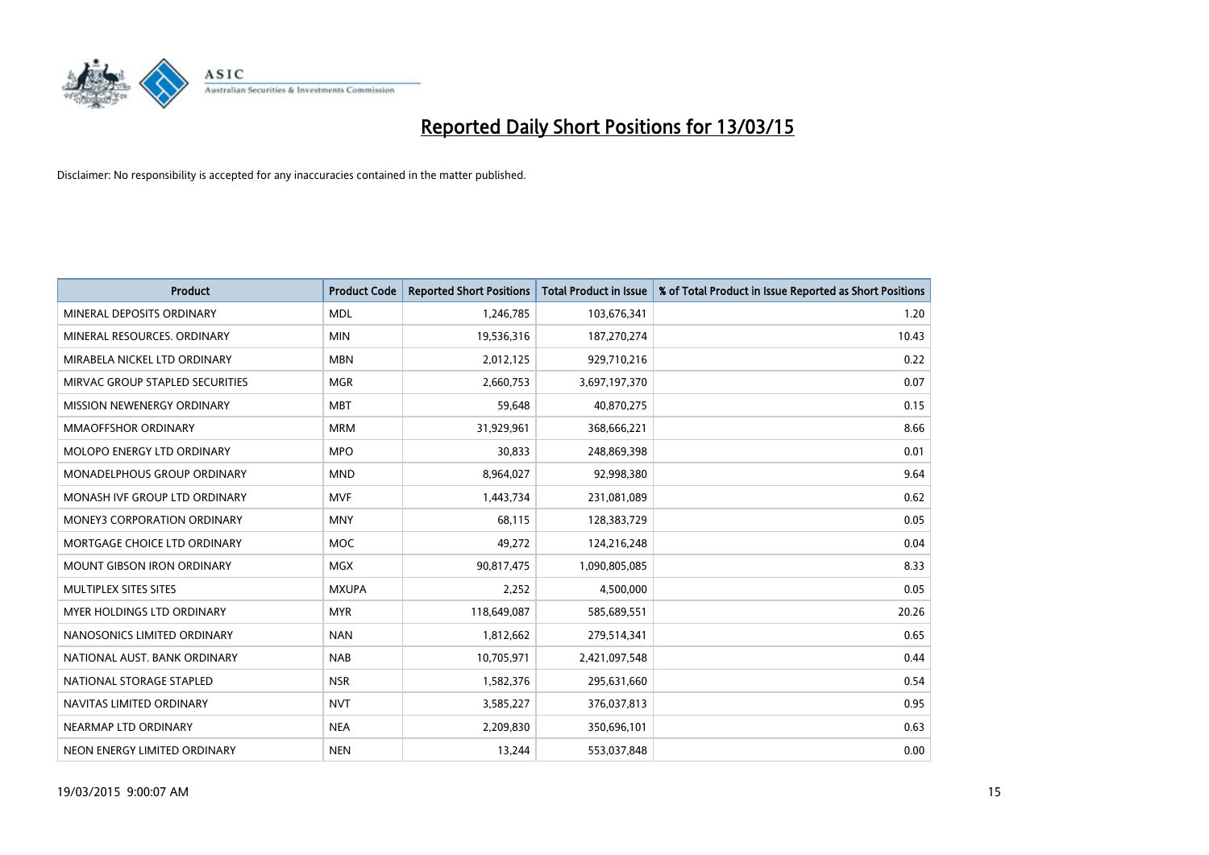

| <b>Product</b>                     | <b>Product Code</b> | <b>Reported Short Positions</b> | <b>Total Product in Issue</b> | % of Total Product in Issue Reported as Short Positions |
|------------------------------------|---------------------|---------------------------------|-------------------------------|---------------------------------------------------------|
| MINERAL DEPOSITS ORDINARY          | <b>MDL</b>          | 1,246,785                       | 103,676,341                   | 1.20                                                    |
| MINERAL RESOURCES, ORDINARY        | <b>MIN</b>          | 19,536,316                      | 187,270,274                   | 10.43                                                   |
| MIRABELA NICKEL LTD ORDINARY       | <b>MBN</b>          | 2,012,125                       | 929,710,216                   | 0.22                                                    |
| MIRVAC GROUP STAPLED SECURITIES    | <b>MGR</b>          | 2,660,753                       | 3,697,197,370                 | 0.07                                                    |
| MISSION NEWENERGY ORDINARY         | <b>MBT</b>          | 59,648                          | 40,870,275                    | 0.15                                                    |
| <b>MMAOFFSHOR ORDINARY</b>         | <b>MRM</b>          | 31,929,961                      | 368,666,221                   | 8.66                                                    |
| MOLOPO ENERGY LTD ORDINARY         | <b>MPO</b>          | 30,833                          | 248,869,398                   | 0.01                                                    |
| MONADELPHOUS GROUP ORDINARY        | <b>MND</b>          | 8,964,027                       | 92,998,380                    | 9.64                                                    |
| MONASH IVF GROUP LTD ORDINARY      | <b>MVF</b>          | 1,443,734                       | 231,081,089                   | 0.62                                                    |
| <b>MONEY3 CORPORATION ORDINARY</b> | <b>MNY</b>          | 68,115                          | 128,383,729                   | 0.05                                                    |
| MORTGAGE CHOICE LTD ORDINARY       | MOC                 | 49,272                          | 124,216,248                   | 0.04                                                    |
| <b>MOUNT GIBSON IRON ORDINARY</b>  | <b>MGX</b>          | 90,817,475                      | 1,090,805,085                 | 8.33                                                    |
| MULTIPLEX SITES SITES              | <b>MXUPA</b>        | 2,252                           | 4,500,000                     | 0.05                                                    |
| MYER HOLDINGS LTD ORDINARY         | <b>MYR</b>          | 118,649,087                     | 585,689,551                   | 20.26                                                   |
| NANOSONICS LIMITED ORDINARY        | <b>NAN</b>          | 1,812,662                       | 279,514,341                   | 0.65                                                    |
| NATIONAL AUST. BANK ORDINARY       | <b>NAB</b>          | 10,705,971                      | 2,421,097,548                 | 0.44                                                    |
| NATIONAL STORAGE STAPLED           | <b>NSR</b>          | 1,582,376                       | 295,631,660                   | 0.54                                                    |
| NAVITAS LIMITED ORDINARY           | <b>NVT</b>          | 3,585,227                       | 376,037,813                   | 0.95                                                    |
| NEARMAP LTD ORDINARY               | <b>NEA</b>          | 2,209,830                       | 350,696,101                   | 0.63                                                    |
| NEON ENERGY LIMITED ORDINARY       | <b>NEN</b>          | 13,244                          | 553,037,848                   | 0.00                                                    |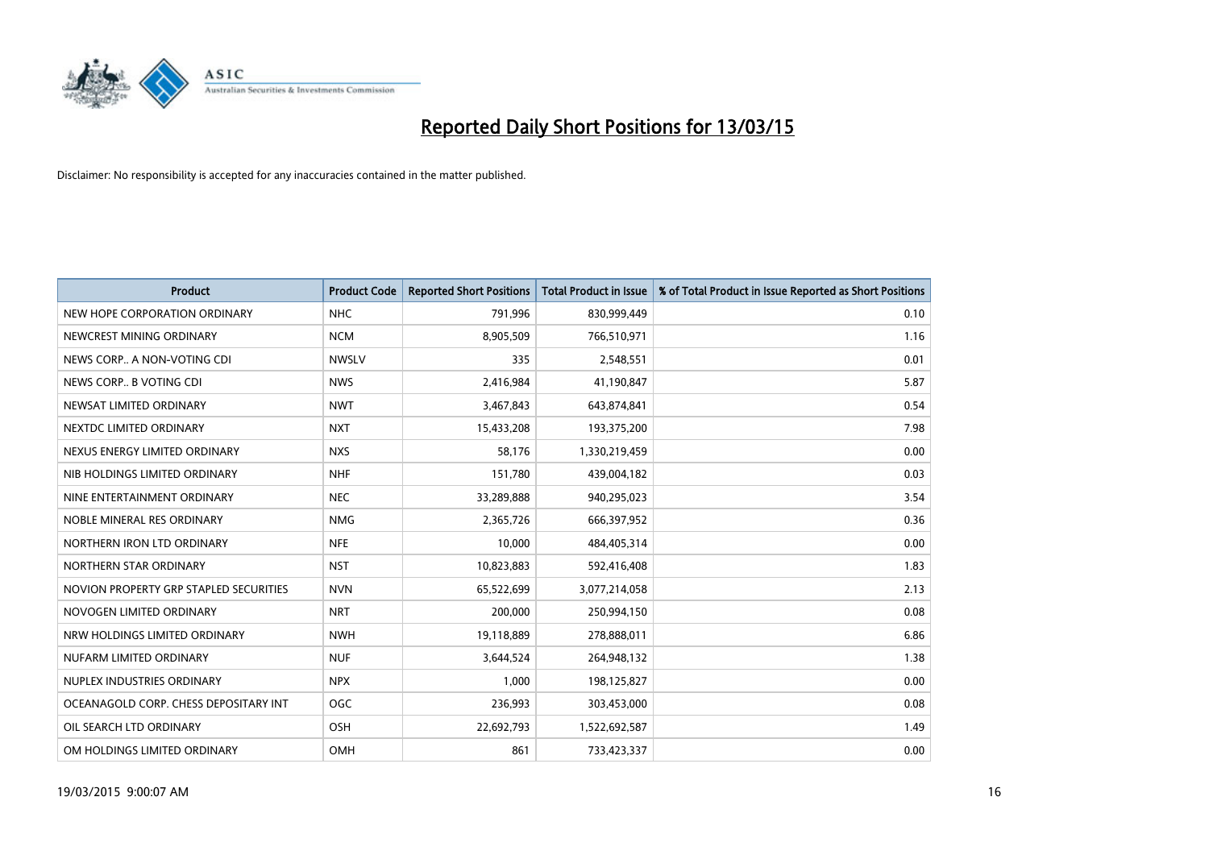

| <b>Product</b>                         | <b>Product Code</b> | <b>Reported Short Positions</b> | <b>Total Product in Issue</b> | % of Total Product in Issue Reported as Short Positions |
|----------------------------------------|---------------------|---------------------------------|-------------------------------|---------------------------------------------------------|
| NEW HOPE CORPORATION ORDINARY          | <b>NHC</b>          | 791,996                         | 830,999,449                   | 0.10                                                    |
| NEWCREST MINING ORDINARY               | <b>NCM</b>          | 8,905,509                       | 766,510,971                   | 1.16                                                    |
| NEWS CORP A NON-VOTING CDI             | <b>NWSLV</b>        | 335                             | 2,548,551                     | 0.01                                                    |
| NEWS CORP B VOTING CDI                 | <b>NWS</b>          | 2,416,984                       | 41,190,847                    | 5.87                                                    |
| NEWSAT LIMITED ORDINARY                | <b>NWT</b>          | 3,467,843                       | 643,874,841                   | 0.54                                                    |
| NEXTDC LIMITED ORDINARY                | <b>NXT</b>          | 15,433,208                      | 193,375,200                   | 7.98                                                    |
| NEXUS ENERGY LIMITED ORDINARY          | <b>NXS</b>          | 58,176                          | 1,330,219,459                 | 0.00                                                    |
| NIB HOLDINGS LIMITED ORDINARY          | <b>NHF</b>          | 151,780                         | 439,004,182                   | 0.03                                                    |
| NINE ENTERTAINMENT ORDINARY            | <b>NEC</b>          | 33,289,888                      | 940,295,023                   | 3.54                                                    |
| NOBLE MINERAL RES ORDINARY             | <b>NMG</b>          | 2,365,726                       | 666,397,952                   | 0.36                                                    |
| NORTHERN IRON LTD ORDINARY             | <b>NFE</b>          | 10,000                          | 484,405,314                   | 0.00                                                    |
| NORTHERN STAR ORDINARY                 | <b>NST</b>          | 10,823,883                      | 592,416,408                   | 1.83                                                    |
| NOVION PROPERTY GRP STAPLED SECURITIES | <b>NVN</b>          | 65,522,699                      | 3,077,214,058                 | 2.13                                                    |
| NOVOGEN LIMITED ORDINARY               | <b>NRT</b>          | 200,000                         | 250,994,150                   | 0.08                                                    |
| NRW HOLDINGS LIMITED ORDINARY          | <b>NWH</b>          | 19,118,889                      | 278,888,011                   | 6.86                                                    |
| NUFARM LIMITED ORDINARY                | <b>NUF</b>          | 3,644,524                       | 264,948,132                   | 1.38                                                    |
| NUPLEX INDUSTRIES ORDINARY             | <b>NPX</b>          | 1,000                           | 198,125,827                   | 0.00                                                    |
| OCEANAGOLD CORP. CHESS DEPOSITARY INT  | <b>OGC</b>          | 236,993                         | 303,453,000                   | 0.08                                                    |
| OIL SEARCH LTD ORDINARY                | OSH                 | 22,692,793                      | 1,522,692,587                 | 1.49                                                    |
| OM HOLDINGS LIMITED ORDINARY           | OMH                 | 861                             | 733,423,337                   | 0.00                                                    |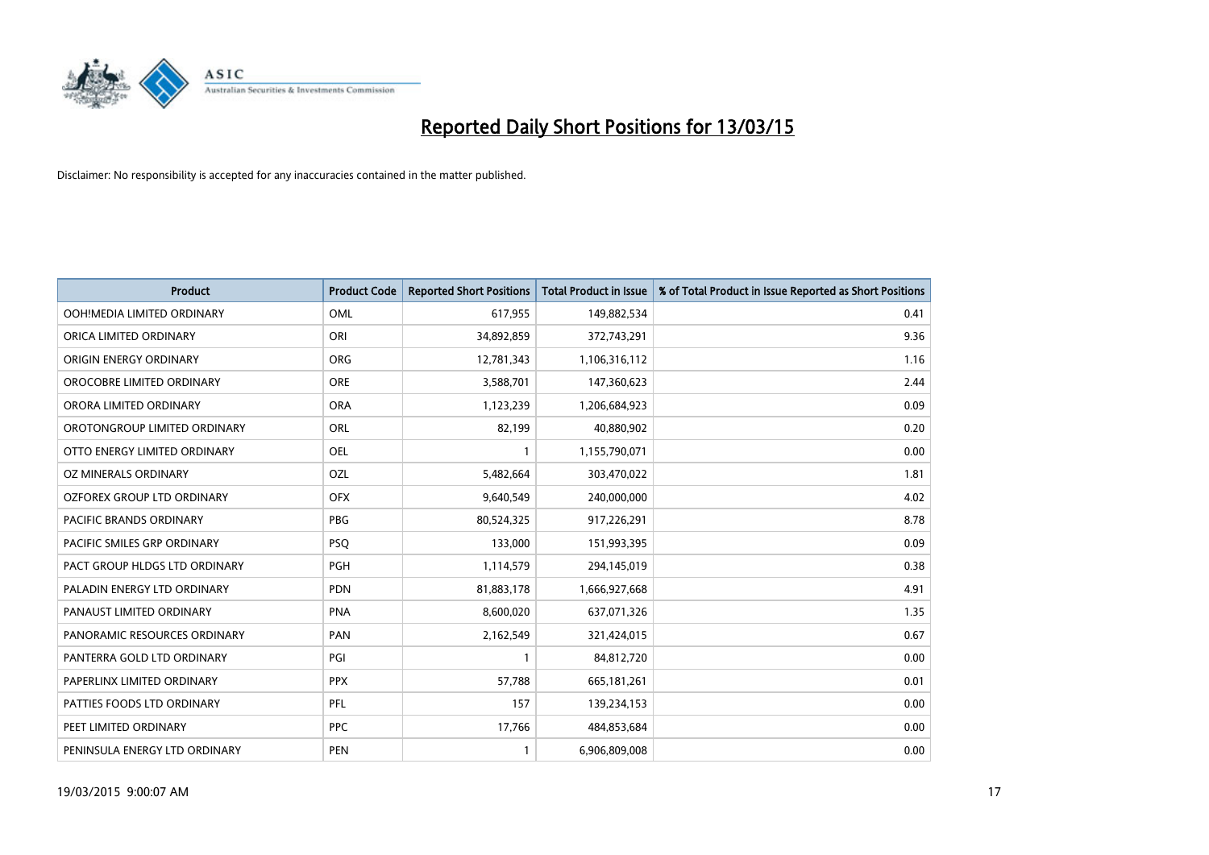

| <b>Product</b>                     | <b>Product Code</b> | <b>Reported Short Positions</b> | <b>Total Product in Issue</b> | % of Total Product in Issue Reported as Short Positions |
|------------------------------------|---------------------|---------------------------------|-------------------------------|---------------------------------------------------------|
| OOH!MEDIA LIMITED ORDINARY         | OML                 | 617,955                         | 149,882,534                   | 0.41                                                    |
| ORICA LIMITED ORDINARY             | ORI                 | 34,892,859                      | 372,743,291                   | 9.36                                                    |
| ORIGIN ENERGY ORDINARY             | ORG                 | 12,781,343                      | 1,106,316,112                 | 1.16                                                    |
| OROCOBRE LIMITED ORDINARY          | <b>ORE</b>          | 3,588,701                       | 147,360,623                   | 2.44                                                    |
| ORORA LIMITED ORDINARY             | <b>ORA</b>          | 1,123,239                       | 1,206,684,923                 | 0.09                                                    |
| OROTONGROUP LIMITED ORDINARY       | ORL                 | 82,199                          | 40,880,902                    | 0.20                                                    |
| OTTO ENERGY LIMITED ORDINARY       | <b>OEL</b>          |                                 | 1,155,790,071                 | 0.00                                                    |
| OZ MINERALS ORDINARY               | <b>OZL</b>          | 5,482,664                       | 303,470,022                   | 1.81                                                    |
| OZFOREX GROUP LTD ORDINARY         | <b>OFX</b>          | 9,640,549                       | 240,000,000                   | 4.02                                                    |
| <b>PACIFIC BRANDS ORDINARY</b>     | <b>PBG</b>          | 80,524,325                      | 917,226,291                   | 8.78                                                    |
| <b>PACIFIC SMILES GRP ORDINARY</b> | <b>PSQ</b>          | 133,000                         | 151,993,395                   | 0.09                                                    |
| PACT GROUP HLDGS LTD ORDINARY      | PGH                 | 1,114,579                       | 294,145,019                   | 0.38                                                    |
| PALADIN ENERGY LTD ORDINARY        | <b>PDN</b>          | 81,883,178                      | 1,666,927,668                 | 4.91                                                    |
| PANAUST LIMITED ORDINARY           | <b>PNA</b>          | 8,600,020                       | 637,071,326                   | 1.35                                                    |
| PANORAMIC RESOURCES ORDINARY       | PAN                 | 2,162,549                       | 321,424,015                   | 0.67                                                    |
| PANTERRA GOLD LTD ORDINARY         | PGI                 | $\mathbf{1}$                    | 84,812,720                    | 0.00                                                    |
| PAPERLINX LIMITED ORDINARY         | <b>PPX</b>          | 57,788                          | 665, 181, 261                 | 0.01                                                    |
| PATTIES FOODS LTD ORDINARY         | PFL                 | 157                             | 139,234,153                   | 0.00                                                    |
| PEET LIMITED ORDINARY              | <b>PPC</b>          | 17,766                          | 484,853,684                   | 0.00                                                    |
| PENINSULA ENERGY LTD ORDINARY      | <b>PEN</b>          | $\mathbf{1}$                    | 6,906,809,008                 | 0.00                                                    |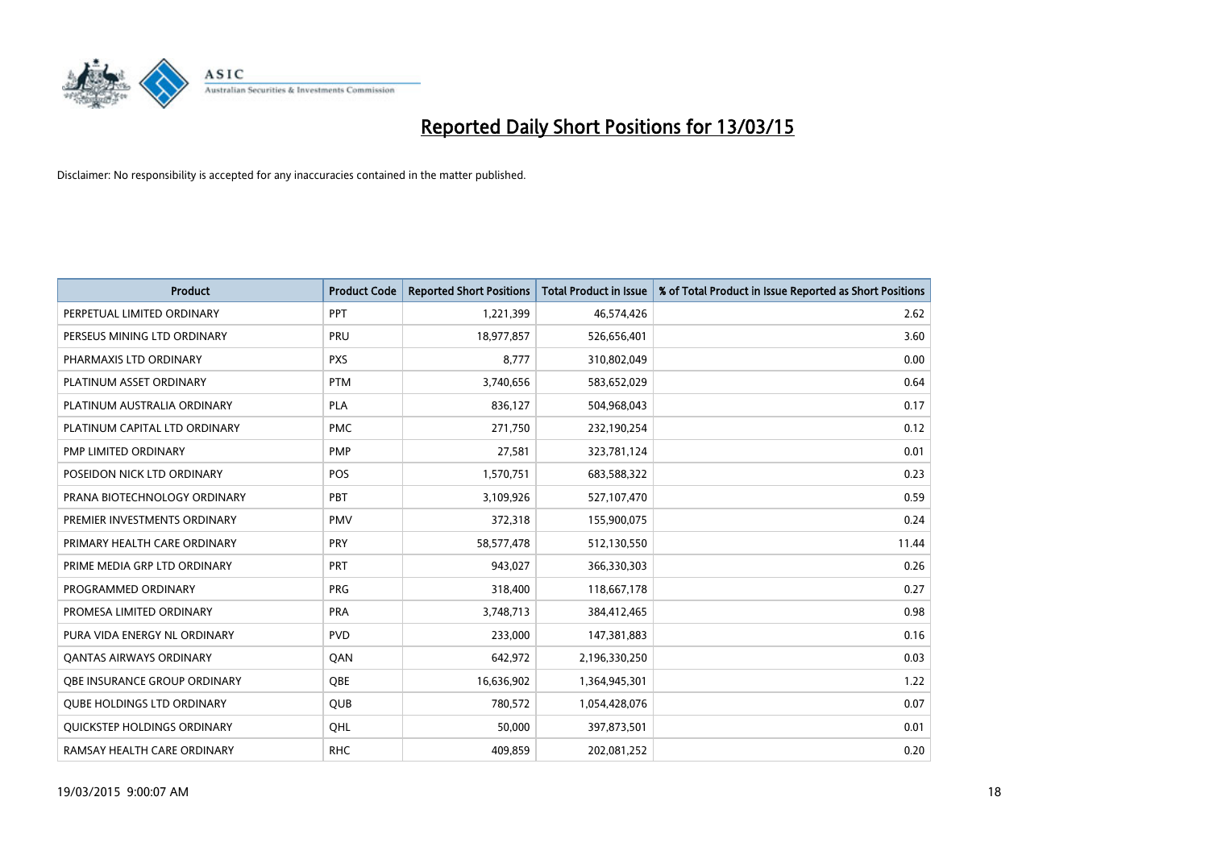

| <b>Product</b>                    | <b>Product Code</b> | <b>Reported Short Positions</b> | <b>Total Product in Issue</b> | % of Total Product in Issue Reported as Short Positions |
|-----------------------------------|---------------------|---------------------------------|-------------------------------|---------------------------------------------------------|
| PERPETUAL LIMITED ORDINARY        | PPT                 | 1,221,399                       | 46,574,426                    | 2.62                                                    |
| PERSEUS MINING LTD ORDINARY       | <b>PRU</b>          | 18,977,857                      | 526,656,401                   | 3.60                                                    |
| PHARMAXIS LTD ORDINARY            | <b>PXS</b>          | 8,777                           | 310,802,049                   | 0.00                                                    |
| PLATINUM ASSET ORDINARY           | <b>PTM</b>          | 3,740,656                       | 583,652,029                   | 0.64                                                    |
| PLATINUM AUSTRALIA ORDINARY       | <b>PLA</b>          | 836,127                         | 504,968,043                   | 0.17                                                    |
| PLATINUM CAPITAL LTD ORDINARY     | <b>PMC</b>          | 271,750                         | 232,190,254                   | 0.12                                                    |
| PMP LIMITED ORDINARY              | <b>PMP</b>          | 27,581                          | 323,781,124                   | 0.01                                                    |
| POSEIDON NICK LTD ORDINARY        | <b>POS</b>          | 1,570,751                       | 683,588,322                   | 0.23                                                    |
| PRANA BIOTECHNOLOGY ORDINARY      | <b>PBT</b>          | 3,109,926                       | 527,107,470                   | 0.59                                                    |
| PREMIER INVESTMENTS ORDINARY      | <b>PMV</b>          | 372,318                         | 155,900,075                   | 0.24                                                    |
| PRIMARY HEALTH CARE ORDINARY      | <b>PRY</b>          | 58,577,478                      | 512,130,550                   | 11.44                                                   |
| PRIME MEDIA GRP LTD ORDINARY      | <b>PRT</b>          | 943,027                         | 366,330,303                   | 0.26                                                    |
| PROGRAMMED ORDINARY               | <b>PRG</b>          | 318,400                         | 118,667,178                   | 0.27                                                    |
| PROMESA LIMITED ORDINARY          | <b>PRA</b>          | 3,748,713                       | 384,412,465                   | 0.98                                                    |
| PURA VIDA ENERGY NL ORDINARY      | <b>PVD</b>          | 233,000                         | 147,381,883                   | 0.16                                                    |
| <b>QANTAS AIRWAYS ORDINARY</b>    | QAN                 | 642,972                         | 2,196,330,250                 | 0.03                                                    |
| OBE INSURANCE GROUP ORDINARY      | <b>OBE</b>          | 16,636,902                      | 1,364,945,301                 | 1.22                                                    |
| <b>QUBE HOLDINGS LTD ORDINARY</b> | <b>QUB</b>          | 780,572                         | 1,054,428,076                 | 0.07                                                    |
| QUICKSTEP HOLDINGS ORDINARY       | QHL                 | 50,000                          | 397,873,501                   | 0.01                                                    |
| RAMSAY HEALTH CARE ORDINARY       | <b>RHC</b>          | 409,859                         | 202,081,252                   | 0.20                                                    |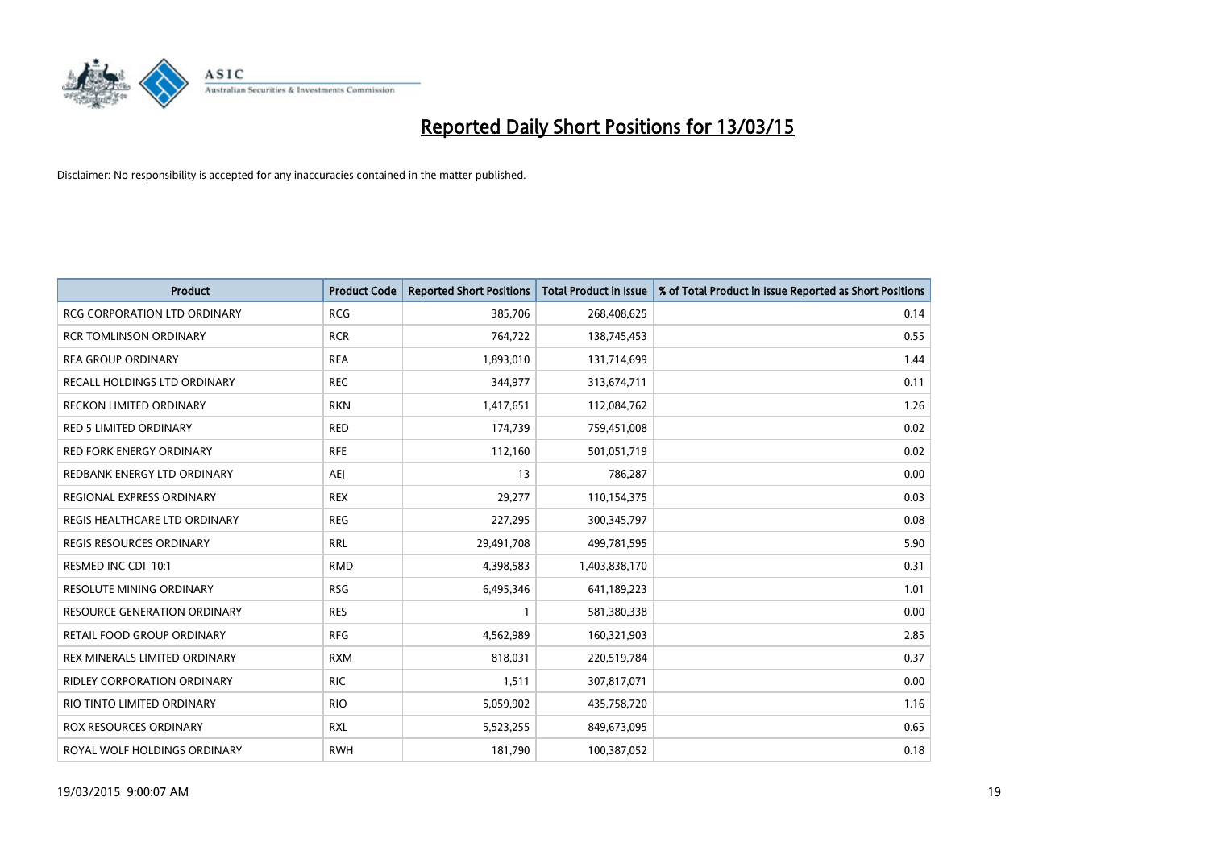

| <b>Product</b>                      | <b>Product Code</b> | <b>Reported Short Positions</b> | <b>Total Product in Issue</b> | % of Total Product in Issue Reported as Short Positions |
|-------------------------------------|---------------------|---------------------------------|-------------------------------|---------------------------------------------------------|
| <b>RCG CORPORATION LTD ORDINARY</b> | <b>RCG</b>          | 385,706                         | 268,408,625                   | 0.14                                                    |
| <b>RCR TOMLINSON ORDINARY</b>       | <b>RCR</b>          | 764,722                         | 138,745,453                   | 0.55                                                    |
| <b>REA GROUP ORDINARY</b>           | <b>REA</b>          | 1,893,010                       | 131,714,699                   | 1.44                                                    |
| RECALL HOLDINGS LTD ORDINARY        | <b>REC</b>          | 344,977                         | 313,674,711                   | 0.11                                                    |
| <b>RECKON LIMITED ORDINARY</b>      | <b>RKN</b>          | 1,417,651                       | 112,084,762                   | 1.26                                                    |
| <b>RED 5 LIMITED ORDINARY</b>       | <b>RED</b>          | 174,739                         | 759,451,008                   | 0.02                                                    |
| RED FORK ENERGY ORDINARY            | <b>RFE</b>          | 112,160                         | 501,051,719                   | 0.02                                                    |
| REDBANK ENERGY LTD ORDINARY         | AEJ                 | 13                              | 786,287                       | 0.00                                                    |
| REGIONAL EXPRESS ORDINARY           | <b>REX</b>          | 29,277                          | 110,154,375                   | 0.03                                                    |
| REGIS HEALTHCARE LTD ORDINARY       | <b>REG</b>          | 227,295                         | 300, 345, 797                 | 0.08                                                    |
| <b>REGIS RESOURCES ORDINARY</b>     | <b>RRL</b>          | 29,491,708                      | 499,781,595                   | 5.90                                                    |
| RESMED INC CDI 10:1                 | <b>RMD</b>          | 4,398,583                       | 1,403,838,170                 | 0.31                                                    |
| <b>RESOLUTE MINING ORDINARY</b>     | <b>RSG</b>          | 6,495,346                       | 641,189,223                   | 1.01                                                    |
| <b>RESOURCE GENERATION ORDINARY</b> | <b>RES</b>          | $\mathbf{1}$                    | 581,380,338                   | 0.00                                                    |
| RETAIL FOOD GROUP ORDINARY          | <b>RFG</b>          | 4,562,989                       | 160,321,903                   | 2.85                                                    |
| REX MINERALS LIMITED ORDINARY       | <b>RXM</b>          | 818,031                         | 220,519,784                   | 0.37                                                    |
| RIDLEY CORPORATION ORDINARY         | <b>RIC</b>          | 1,511                           | 307,817,071                   | 0.00                                                    |
| RIO TINTO LIMITED ORDINARY          | <b>RIO</b>          | 5,059,902                       | 435,758,720                   | 1.16                                                    |
| <b>ROX RESOURCES ORDINARY</b>       | <b>RXL</b>          | 5,523,255                       | 849,673,095                   | 0.65                                                    |
| ROYAL WOLF HOLDINGS ORDINARY        | <b>RWH</b>          | 181,790                         | 100,387,052                   | 0.18                                                    |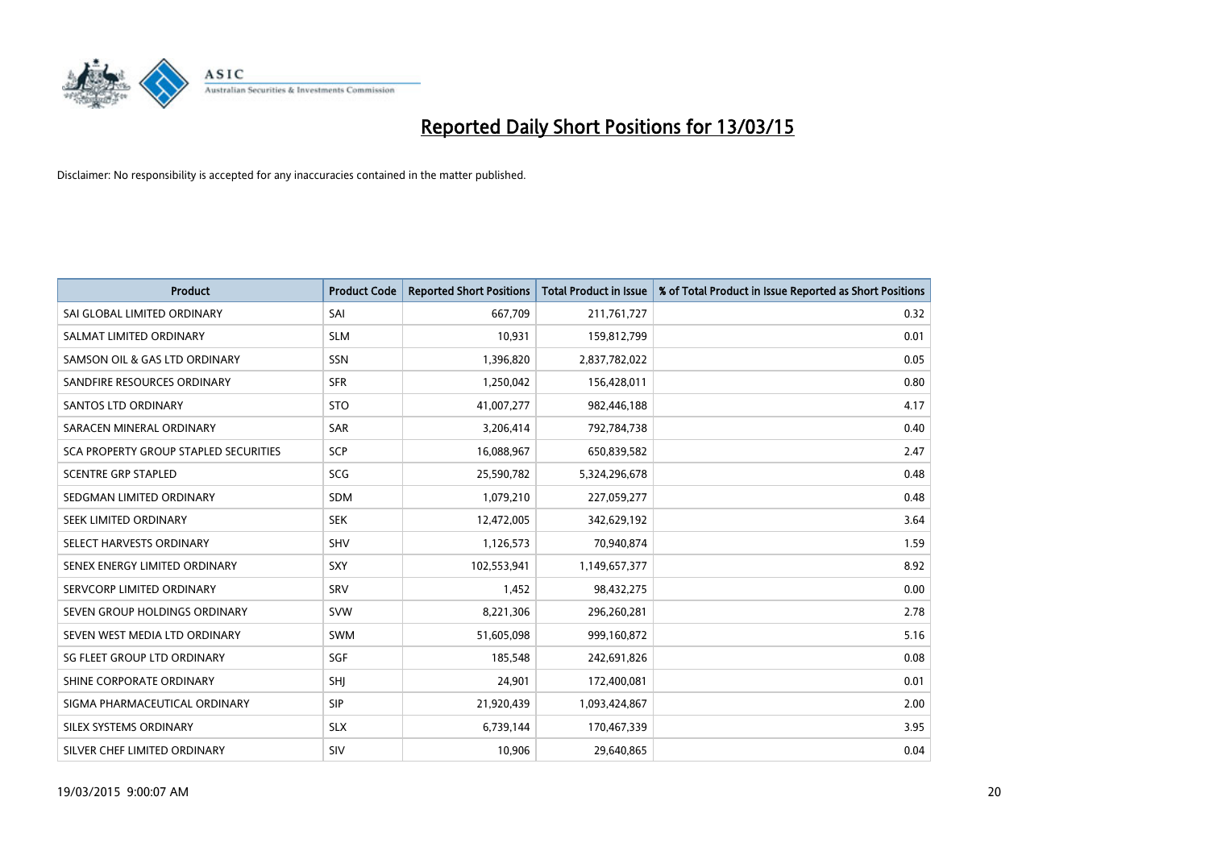

| <b>Product</b>                        | <b>Product Code</b> | <b>Reported Short Positions</b> | <b>Total Product in Issue</b> | % of Total Product in Issue Reported as Short Positions |
|---------------------------------------|---------------------|---------------------------------|-------------------------------|---------------------------------------------------------|
| SAI GLOBAL LIMITED ORDINARY           | SAI                 | 667,709                         | 211,761,727                   | 0.32                                                    |
| SALMAT LIMITED ORDINARY               | <b>SLM</b>          | 10,931                          | 159,812,799                   | 0.01                                                    |
| SAMSON OIL & GAS LTD ORDINARY         | SSN                 | 1,396,820                       | 2,837,782,022                 | 0.05                                                    |
| SANDFIRE RESOURCES ORDINARY           | <b>SFR</b>          | 1,250,042                       | 156,428,011                   | 0.80                                                    |
| <b>SANTOS LTD ORDINARY</b>            | <b>STO</b>          | 41,007,277                      | 982,446,188                   | 4.17                                                    |
| SARACEN MINERAL ORDINARY              | SAR                 | 3,206,414                       | 792,784,738                   | 0.40                                                    |
| SCA PROPERTY GROUP STAPLED SECURITIES | SCP                 | 16,088,967                      | 650,839,582                   | 2.47                                                    |
| <b>SCENTRE GRP STAPLED</b>            | SCG                 | 25,590,782                      | 5,324,296,678                 | 0.48                                                    |
| SEDGMAN LIMITED ORDINARY              | <b>SDM</b>          | 1,079,210                       | 227,059,277                   | 0.48                                                    |
| SEEK LIMITED ORDINARY                 | <b>SEK</b>          | 12,472,005                      | 342,629,192                   | 3.64                                                    |
| SELECT HARVESTS ORDINARY              | <b>SHV</b>          | 1,126,573                       | 70,940,874                    | 1.59                                                    |
| SENEX ENERGY LIMITED ORDINARY         | SXY                 | 102,553,941                     | 1,149,657,377                 | 8.92                                                    |
| SERVCORP LIMITED ORDINARY             | SRV                 | 1,452                           | 98,432,275                    | 0.00                                                    |
| SEVEN GROUP HOLDINGS ORDINARY         | <b>SVW</b>          | 8,221,306                       | 296,260,281                   | 2.78                                                    |
| SEVEN WEST MEDIA LTD ORDINARY         | <b>SWM</b>          | 51,605,098                      | 999,160,872                   | 5.16                                                    |
| SG FLEET GROUP LTD ORDINARY           | SGF                 | 185,548                         | 242,691,826                   | 0.08                                                    |
| SHINE CORPORATE ORDINARY              | SHJ                 | 24,901                          | 172,400,081                   | 0.01                                                    |
| SIGMA PHARMACEUTICAL ORDINARY         | <b>SIP</b>          | 21,920,439                      | 1,093,424,867                 | 2.00                                                    |
| SILEX SYSTEMS ORDINARY                | <b>SLX</b>          | 6,739,144                       | 170,467,339                   | 3.95                                                    |
| SILVER CHEF LIMITED ORDINARY          | <b>SIV</b>          | 10,906                          | 29,640,865                    | 0.04                                                    |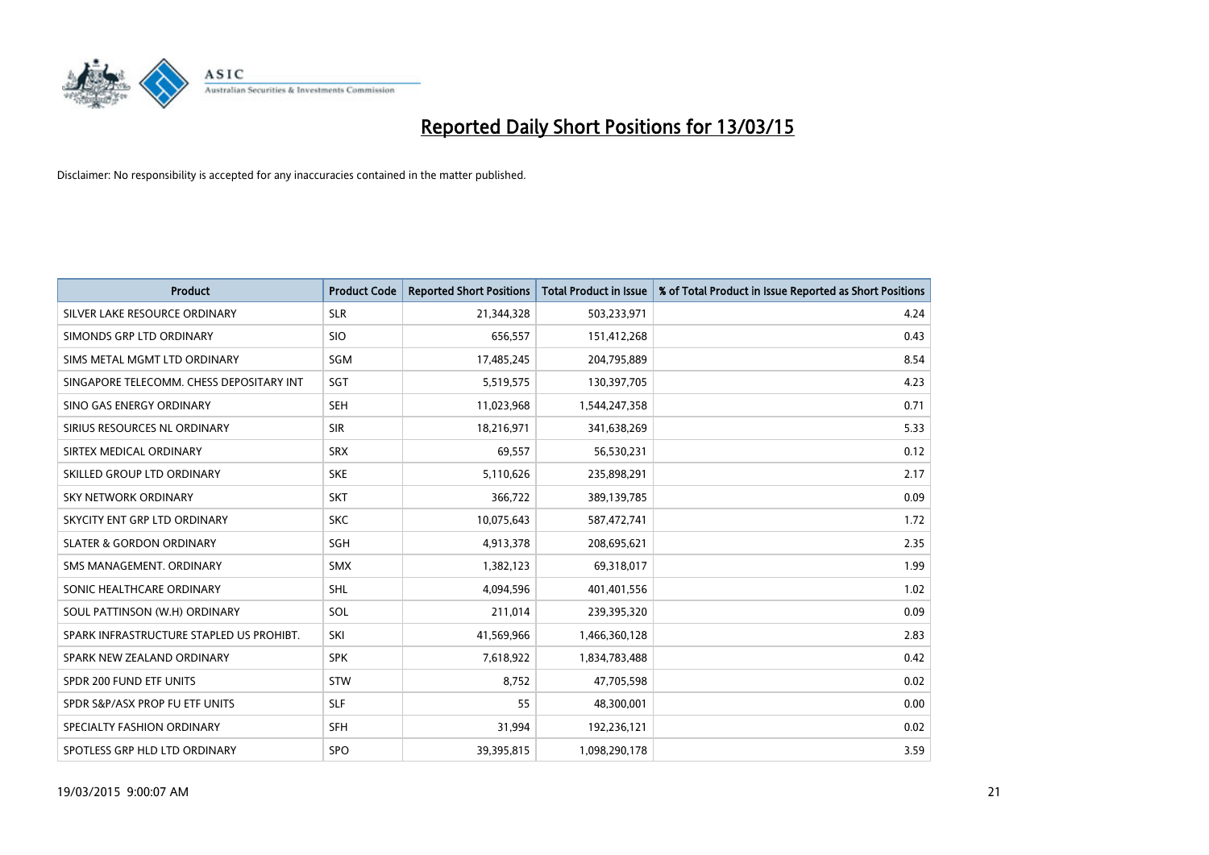

| <b>Product</b>                           | <b>Product Code</b> | <b>Reported Short Positions</b> | <b>Total Product in Issue</b> | % of Total Product in Issue Reported as Short Positions |
|------------------------------------------|---------------------|---------------------------------|-------------------------------|---------------------------------------------------------|
| SILVER LAKE RESOURCE ORDINARY            | <b>SLR</b>          | 21,344,328                      | 503,233,971                   | 4.24                                                    |
| SIMONDS GRP LTD ORDINARY                 | <b>SIO</b>          | 656,557                         | 151,412,268                   | 0.43                                                    |
| SIMS METAL MGMT LTD ORDINARY             | SGM                 | 17,485,245                      | 204,795,889                   | 8.54                                                    |
| SINGAPORE TELECOMM. CHESS DEPOSITARY INT | SGT                 | 5,519,575                       | 130,397,705                   | 4.23                                                    |
| SINO GAS ENERGY ORDINARY                 | <b>SEH</b>          | 11,023,968                      | 1,544,247,358                 | 0.71                                                    |
| SIRIUS RESOURCES NL ORDINARY             | <b>SIR</b>          | 18,216,971                      | 341,638,269                   | 5.33                                                    |
| SIRTEX MEDICAL ORDINARY                  | <b>SRX</b>          | 69,557                          | 56,530,231                    | 0.12                                                    |
| SKILLED GROUP LTD ORDINARY               | <b>SKE</b>          | 5,110,626                       | 235,898,291                   | 2.17                                                    |
| <b>SKY NETWORK ORDINARY</b>              | <b>SKT</b>          | 366,722                         | 389,139,785                   | 0.09                                                    |
| SKYCITY ENT GRP LTD ORDINARY             | <b>SKC</b>          | 10,075,643                      | 587,472,741                   | 1.72                                                    |
| <b>SLATER &amp; GORDON ORDINARY</b>      | SGH                 | 4,913,378                       | 208,695,621                   | 2.35                                                    |
| SMS MANAGEMENT, ORDINARY                 | <b>SMX</b>          | 1,382,123                       | 69,318,017                    | 1.99                                                    |
| SONIC HEALTHCARE ORDINARY                | SHL                 | 4,094,596                       | 401,401,556                   | 1.02                                                    |
| SOUL PATTINSON (W.H) ORDINARY            | SOL                 | 211,014                         | 239,395,320                   | 0.09                                                    |
| SPARK INFRASTRUCTURE STAPLED US PROHIBT. | SKI                 | 41,569,966                      | 1,466,360,128                 | 2.83                                                    |
| SPARK NEW ZEALAND ORDINARY               | <b>SPK</b>          | 7,618,922                       | 1,834,783,488                 | 0.42                                                    |
| SPDR 200 FUND ETF UNITS                  | <b>STW</b>          | 8,752                           | 47,705,598                    | 0.02                                                    |
| SPDR S&P/ASX PROP FU ETF UNITS           | <b>SLF</b>          | 55                              | 48,300,001                    | 0.00                                                    |
| SPECIALTY FASHION ORDINARY               | <b>SFH</b>          | 31,994                          | 192,236,121                   | 0.02                                                    |
| SPOTLESS GRP HLD LTD ORDINARY            | <b>SPO</b>          | 39,395,815                      | 1,098,290,178                 | 3.59                                                    |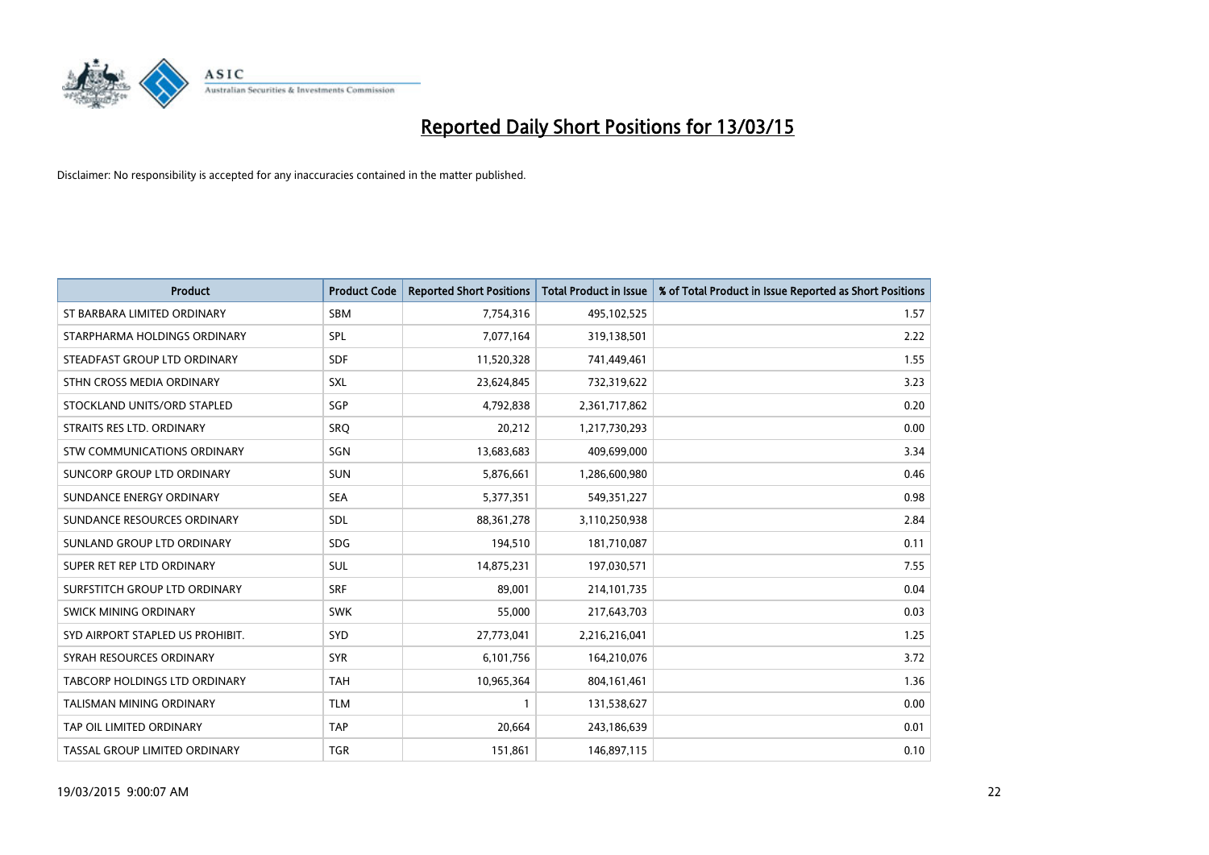

| <b>Product</b>                   | <b>Product Code</b> | <b>Reported Short Positions</b> | <b>Total Product in Issue</b> | % of Total Product in Issue Reported as Short Positions |
|----------------------------------|---------------------|---------------------------------|-------------------------------|---------------------------------------------------------|
| ST BARBARA LIMITED ORDINARY      | <b>SBM</b>          | 7,754,316                       | 495,102,525                   | 1.57                                                    |
| STARPHARMA HOLDINGS ORDINARY     | <b>SPL</b>          | 7,077,164                       | 319,138,501                   | 2.22                                                    |
| STEADFAST GROUP LTD ORDINARY     | <b>SDF</b>          | 11,520,328                      | 741,449,461                   | 1.55                                                    |
| STHN CROSS MEDIA ORDINARY        | <b>SXL</b>          | 23,624,845                      | 732,319,622                   | 3.23                                                    |
| STOCKLAND UNITS/ORD STAPLED      | SGP                 | 4,792,838                       | 2,361,717,862                 | 0.20                                                    |
| STRAITS RES LTD. ORDINARY        | SRQ                 | 20,212                          | 1,217,730,293                 | 0.00                                                    |
| STW COMMUNICATIONS ORDINARY      | SGN                 | 13,683,683                      | 409,699,000                   | 3.34                                                    |
| SUNCORP GROUP LTD ORDINARY       | <b>SUN</b>          | 5,876,661                       | 1,286,600,980                 | 0.46                                                    |
| SUNDANCE ENERGY ORDINARY         | <b>SEA</b>          | 5,377,351                       | 549,351,227                   | 0.98                                                    |
| SUNDANCE RESOURCES ORDINARY      | <b>SDL</b>          | 88, 361, 278                    | 3,110,250,938                 | 2.84                                                    |
| SUNLAND GROUP LTD ORDINARY       | <b>SDG</b>          | 194,510                         | 181,710,087                   | 0.11                                                    |
| SUPER RET REP LTD ORDINARY       | SUL                 | 14,875,231                      | 197,030,571                   | 7.55                                                    |
| SURFSTITCH GROUP LTD ORDINARY    | <b>SRF</b>          | 89,001                          | 214, 101, 735                 | 0.04                                                    |
| SWICK MINING ORDINARY            | <b>SWK</b>          | 55,000                          | 217,643,703                   | 0.03                                                    |
| SYD AIRPORT STAPLED US PROHIBIT. | SYD                 | 27,773,041                      | 2,216,216,041                 | 1.25                                                    |
| SYRAH RESOURCES ORDINARY         | <b>SYR</b>          | 6,101,756                       | 164,210,076                   | 3.72                                                    |
| TABCORP HOLDINGS LTD ORDINARY    | <b>TAH</b>          | 10,965,364                      | 804, 161, 461                 | 1.36                                                    |
| TALISMAN MINING ORDINARY         | <b>TLM</b>          | 1                               | 131,538,627                   | 0.00                                                    |
| TAP OIL LIMITED ORDINARY         | <b>TAP</b>          | 20,664                          | 243,186,639                   | 0.01                                                    |
| TASSAL GROUP LIMITED ORDINARY    | <b>TGR</b>          | 151,861                         | 146,897,115                   | 0.10                                                    |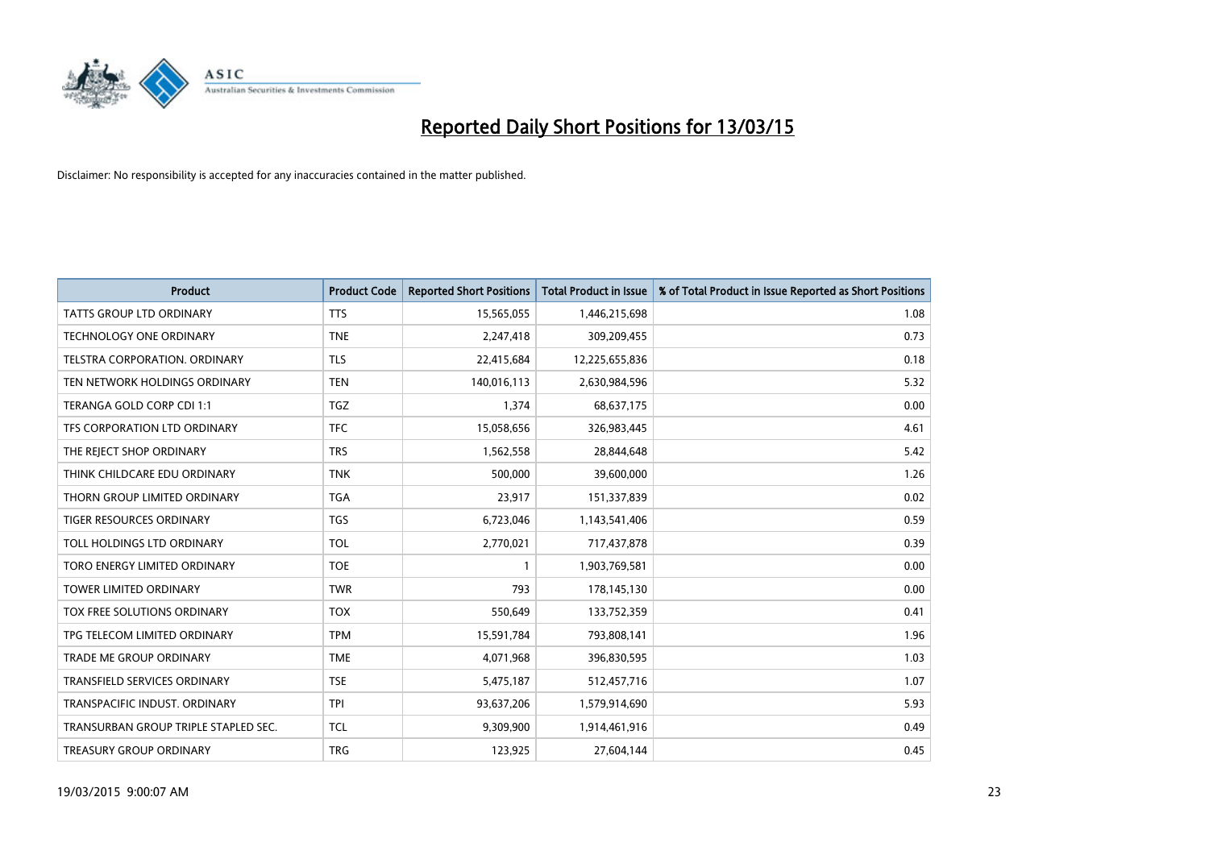

| <b>Product</b>                       | <b>Product Code</b> | <b>Reported Short Positions</b> | <b>Total Product in Issue</b> | % of Total Product in Issue Reported as Short Positions |
|--------------------------------------|---------------------|---------------------------------|-------------------------------|---------------------------------------------------------|
| <b>TATTS GROUP LTD ORDINARY</b>      | <b>TTS</b>          | 15,565,055                      | 1,446,215,698                 | 1.08                                                    |
| TECHNOLOGY ONE ORDINARY              | <b>TNE</b>          | 2,247,418                       | 309,209,455                   | 0.73                                                    |
| <b>TELSTRA CORPORATION, ORDINARY</b> | <b>TLS</b>          | 22,415,684                      | 12,225,655,836                | 0.18                                                    |
| TEN NETWORK HOLDINGS ORDINARY        | <b>TEN</b>          | 140,016,113                     | 2,630,984,596                 | 5.32                                                    |
| TERANGA GOLD CORP CDI 1:1            | <b>TGZ</b>          | 1,374                           | 68,637,175                    | 0.00                                                    |
| TFS CORPORATION LTD ORDINARY         | <b>TFC</b>          | 15,058,656                      | 326,983,445                   | 4.61                                                    |
| THE REJECT SHOP ORDINARY             | <b>TRS</b>          | 1,562,558                       | 28,844,648                    | 5.42                                                    |
| THINK CHILDCARE EDU ORDINARY         | <b>TNK</b>          | 500,000                         | 39,600,000                    | 1.26                                                    |
| THORN GROUP LIMITED ORDINARY         | <b>TGA</b>          | 23,917                          | 151,337,839                   | 0.02                                                    |
| <b>TIGER RESOURCES ORDINARY</b>      | <b>TGS</b>          | 6,723,046                       | 1,143,541,406                 | 0.59                                                    |
| TOLL HOLDINGS LTD ORDINARY           | <b>TOL</b>          | 2,770,021                       | 717,437,878                   | 0.39                                                    |
| TORO ENERGY LIMITED ORDINARY         | <b>TOE</b>          | $\mathbf{1}$                    | 1,903,769,581                 | 0.00                                                    |
| TOWER LIMITED ORDINARY               | <b>TWR</b>          | 793                             | 178,145,130                   | 0.00                                                    |
| TOX FREE SOLUTIONS ORDINARY          | <b>TOX</b>          | 550,649                         | 133,752,359                   | 0.41                                                    |
| TPG TELECOM LIMITED ORDINARY         | <b>TPM</b>          | 15,591,784                      | 793,808,141                   | 1.96                                                    |
| <b>TRADE ME GROUP ORDINARY</b>       | <b>TME</b>          | 4,071,968                       | 396,830,595                   | 1.03                                                    |
| <b>TRANSFIELD SERVICES ORDINARY</b>  | <b>TSE</b>          | 5,475,187                       | 512,457,716                   | 1.07                                                    |
| TRANSPACIFIC INDUST, ORDINARY        | <b>TPI</b>          | 93,637,206                      | 1,579,914,690                 | 5.93                                                    |
| TRANSURBAN GROUP TRIPLE STAPLED SEC. | <b>TCL</b>          | 9,309,900                       | 1,914,461,916                 | 0.49                                                    |
| TREASURY GROUP ORDINARY              | <b>TRG</b>          | 123,925                         | 27,604,144                    | 0.45                                                    |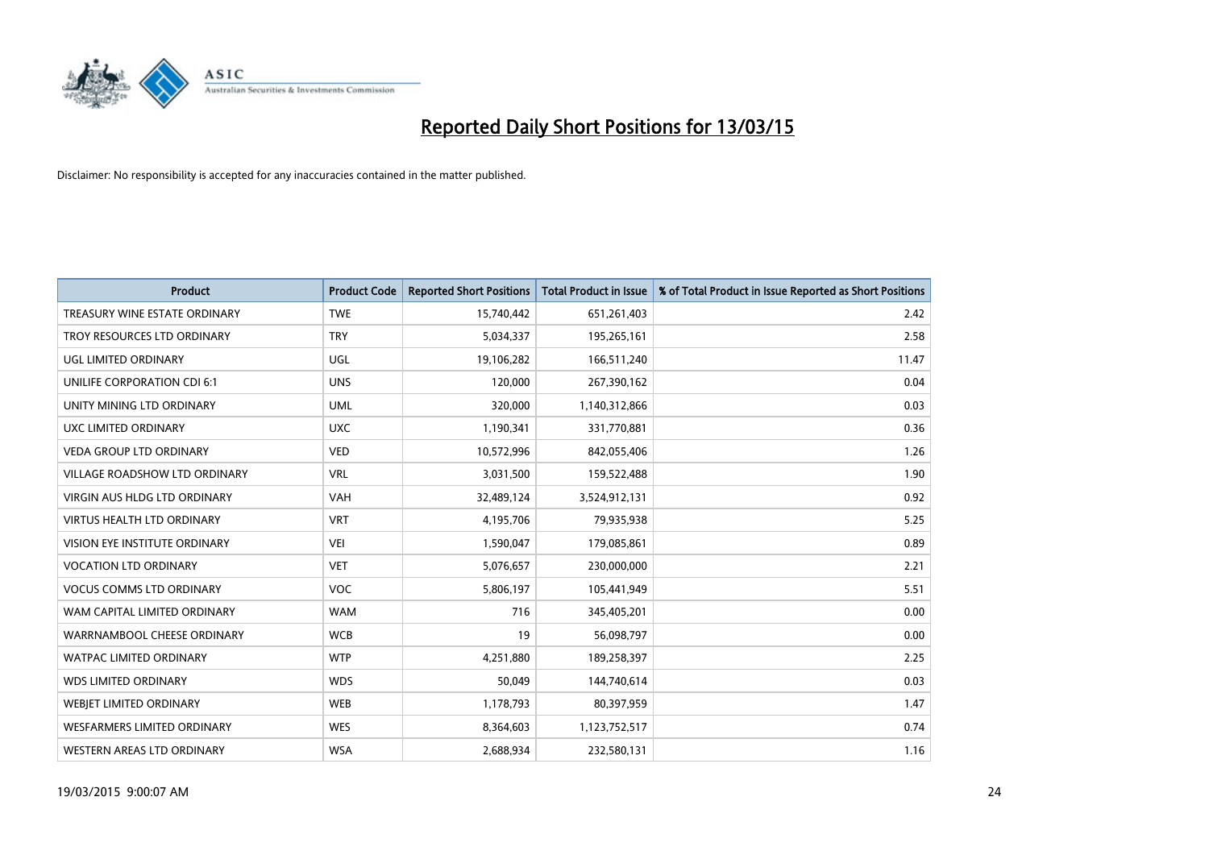

| <b>Product</b>                     | <b>Product Code</b> | <b>Reported Short Positions</b> | <b>Total Product in Issue</b> | % of Total Product in Issue Reported as Short Positions |
|------------------------------------|---------------------|---------------------------------|-------------------------------|---------------------------------------------------------|
| TREASURY WINE ESTATE ORDINARY      | <b>TWE</b>          | 15,740,442                      | 651,261,403                   | 2.42                                                    |
| TROY RESOURCES LTD ORDINARY        | <b>TRY</b>          | 5,034,337                       | 195,265,161                   | 2.58                                                    |
| UGL LIMITED ORDINARY               | UGL                 | 19,106,282                      | 166,511,240                   | 11.47                                                   |
| UNILIFE CORPORATION CDI 6:1        | <b>UNS</b>          | 120,000                         | 267,390,162                   | 0.04                                                    |
| UNITY MINING LTD ORDINARY          | <b>UML</b>          | 320,000                         | 1,140,312,866                 | 0.03                                                    |
| UXC LIMITED ORDINARY               | <b>UXC</b>          | 1,190,341                       | 331,770,881                   | 0.36                                                    |
| <b>VEDA GROUP LTD ORDINARY</b>     | <b>VED</b>          | 10,572,996                      | 842,055,406                   | 1.26                                                    |
| VILLAGE ROADSHOW LTD ORDINARY      | <b>VRL</b>          | 3,031,500                       | 159,522,488                   | 1.90                                                    |
| VIRGIN AUS HLDG LTD ORDINARY       | <b>VAH</b>          | 32,489,124                      | 3,524,912,131                 | 0.92                                                    |
| <b>VIRTUS HEALTH LTD ORDINARY</b>  | <b>VRT</b>          | 4,195,706                       | 79,935,938                    | 5.25                                                    |
| VISION EYE INSTITUTE ORDINARY      | <b>VEI</b>          | 1,590,047                       | 179,085,861                   | 0.89                                                    |
| <b>VOCATION LTD ORDINARY</b>       | <b>VET</b>          | 5,076,657                       | 230,000,000                   | 2.21                                                    |
| <b>VOCUS COMMS LTD ORDINARY</b>    | <b>VOC</b>          | 5,806,197                       | 105,441,949                   | 5.51                                                    |
| WAM CAPITAL LIMITED ORDINARY       | <b>WAM</b>          | 716                             | 345,405,201                   | 0.00                                                    |
| WARRNAMBOOL CHEESE ORDINARY        | <b>WCB</b>          | 19                              | 56,098,797                    | 0.00                                                    |
| WATPAC LIMITED ORDINARY            | <b>WTP</b>          | 4,251,880                       | 189,258,397                   | 2.25                                                    |
| <b>WDS LIMITED ORDINARY</b>        | <b>WDS</b>          | 50,049                          | 144,740,614                   | 0.03                                                    |
| WEBJET LIMITED ORDINARY            | <b>WEB</b>          | 1,178,793                       | 80,397,959                    | 1.47                                                    |
| <b>WESFARMERS LIMITED ORDINARY</b> | <b>WES</b>          | 8,364,603                       | 1,123,752,517                 | 0.74                                                    |
| WESTERN AREAS LTD ORDINARY         | <b>WSA</b>          | 2,688,934                       | 232,580,131                   | 1.16                                                    |